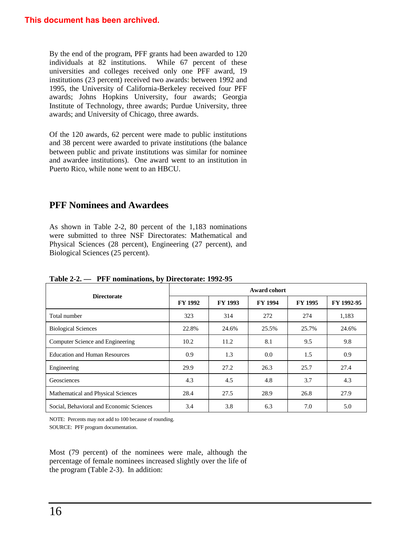By the end of the program, PFF grants had been awarded to 120 individuals at 82 institutions. While 67 percent of these universities and colleges received only one PFF award, 19 institutions (23 percent) received two awards: between 1992 and 1995, the University of California-Berkeley received four PFF awards; Johns Hopkins University, four awards; Georgia Institute of Technology, three awards; Purdue University, three awards; and University of Chicago, three awards.

Of the 120 awards, 62 percent were made to public institutions and 38 percent were awarded to private institutions (the balance between public and private institutions was similar for nominee and awardee institutions). One award went to an institution in Puerto Rico, while none went to an HBCU.

## **PFF Nominees and Awardees**

As shown in Table 2-2, 80 percent of the 1,183 nominations were submitted to three NSF Directorates: Mathematical and Physical Sciences (28 percent), Engineering (27 percent), and Biological Sciences (25 percent).

| 1 U.J.V 2 2.<br>$111$ nonimations, by Directorate: $17727$ |                     |                |                |                |            |  |
|------------------------------------------------------------|---------------------|----------------|----------------|----------------|------------|--|
|                                                            | <b>Award cohort</b> |                |                |                |            |  |
| <b>Directorate</b>                                         | <b>FY 1992</b>      | <b>FY 1993</b> | <b>FY 1994</b> | <b>FY 1995</b> | FY 1992-95 |  |
| Total number                                               | 323                 | 314            | 272            | 274            | 1,183      |  |
| <b>Biological Sciences</b>                                 | 22.8%               | 24.6%          | 25.5%          | 25.7%          | 24.6%      |  |
| Computer Science and Engineering                           | 10.2                | 11.2           | 8.1            | 9.5            | 9.8        |  |
| <b>Education and Human Resources</b>                       | 0.9                 | 1.3            | 0.0            | 1.5            | 0.9        |  |
| Engineering                                                | 29.9                | 27.2           | 26.3           | 25.7           | 27.4       |  |
| Geosciences                                                | 4.3                 | 4.5            | 4.8            | 3.7            | 4.3        |  |
| Mathematical and Physical Sciences                         | 28.4                | 27.5           | 28.9           | 26.8           | 27.9       |  |
| Social, Behavioral and Economic Sciences                   | 3.4                 | 3.8            | 6.3            | 7.0            | 5.0        |  |

**Table 2-2. — PFF nominations, by Directorate: 1992-95**

NOTE: Percents may not add to 100 because of rounding. SOURCE: PFF program documentation.

Most (79 percent) of the nominees were male, although the percentage of female nominees increased slightly over the life of the program (Table 2-3). In addition: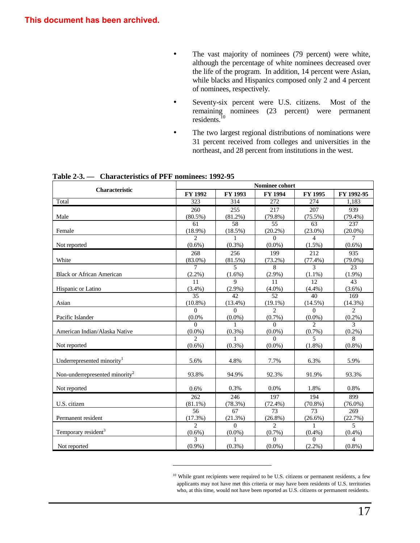- The vast majority of nominees (79 percent) were white, although the percentage of white nominees decreased over the life of the program. In addition, 14 percent were Asian, while blacks and Hispanics composed only 2 and 4 percent of nominees, respectively.
- Seventy-six percent were U.S. citizens. Most of the remaining nominees (23 percent) were permanent residents. $10$
- The two largest regional distributions of nominations were 31 percent received from colleges and universities in the northeast, and 28 percent from institutions in the west.

| <b>Characteristic</b>                      | <b>Nominee cohort</b>       |                |                       |                             |                |  |
|--------------------------------------------|-----------------------------|----------------|-----------------------|-----------------------------|----------------|--|
|                                            | FY 1992                     | FY 1993        | <b>FY 1994</b>        | FY 1995                     | FY 1992-95     |  |
| Total                                      | 323                         | 314            | 272                   | 274                         | 1,183          |  |
|                                            | 260                         | 255            | 217                   | 207                         | 939            |  |
| Male                                       | $(80.5\%)$                  | $(81.2\%)$     | $(79.8\%)$            | $(75.5\%)$                  | $(79.4\%)$     |  |
|                                            | 61                          | 58             | 55                    | 63                          | 237            |  |
| Female                                     | $(18.9\%)$                  | $(18.5\%)$     | $(20.2\%)$            | $(23.0\%)$                  | $(20.0\%)$     |  |
|                                            | $\mathcal{D}_{\mathcal{L}}$ |                | $\Omega$              | 4                           | $\tau$         |  |
| Not reported                               | $(0.6\%)$                   | $(0.3\%)$      | $(0.0\%)$             | $(1.5\%)$                   | $(0.6\%)$      |  |
|                                            | 268                         | 256            | 199                   | 212                         | 935            |  |
| White                                      | $(83.0\%)$                  | (81.5%)        | $(73.2\%)$            | (77.4%)                     | $(79.0\%)$     |  |
|                                            | $\tau$                      | $\overline{5}$ | 8                     | $\mathcal{F}$               | 23             |  |
| <b>Black or African American</b>           | (2.2%)                      | $(1.6\%)$      | $(2.9\%)$             | $(1.1\%)$                   | $(1.9\%)$      |  |
|                                            | 11                          | 9              | 11                    | 12                          | 43             |  |
| Hispanic or Latino                         | (3.4%)                      | $(2.9\%)$      | $(4.0\%)$             | (4.4%)                      | $(3.6\%)$      |  |
|                                            | 35                          | 42             | 52                    | 40                          | 169            |  |
| Asian                                      | $(10.8\%)$                  | $(13.4\%)$     | $(19.1\%)$            | (14.5%)                     | (14.3%)        |  |
|                                            | $\Omega$                    | $\Omega$       | $\overline{c}$        | $\Omega$                    | $\overline{2}$ |  |
| Pacific Islander                           | (0.0%                       | $(0.0\%)$      | $(0.7\%)$             | $(0.0\%)$                   | $(0.2\%)$      |  |
|                                            | $\Omega$                    | $\mathbf{1}$   | $\Omega$              | $\mathcal{D}_{\alpha}$      | $\mathcal{F}$  |  |
| American Indian/Alaska Native              | $(0.0\%)$<br>$\mathfrak{D}$ | $(0.3\%)$      | $(0.0\%)$<br>$\Omega$ | $(0.7\%)$<br>$\overline{5}$ | $(0.2\%)$<br>8 |  |
| Not reported                               | $(0.6\%)$                   | $(0.3\%)$      | $(0.0\%)$             | $(1.8\%)$                   | $(0.8\%)$      |  |
|                                            |                             |                |                       |                             |                |  |
| Underrepresented minority <sup>1</sup>     | 5.6%                        | 4.8%           | 7.7%                  | 6.3%                        | 5.9%           |  |
|                                            |                             |                |                       |                             |                |  |
| Non-underrepresented minority <sup>2</sup> | 93.8%                       | 94.9%          | 92.3%                 | 91.9%                       | 93.3%          |  |
|                                            |                             |                |                       |                             |                |  |
| Not reported                               | 0.6%                        | 0.3%           | 0.0%                  | 1.8%                        | 0.8%           |  |
|                                            | 262                         | 246            | 197                   | 194                         | 899            |  |
| U.S. citizen                               | $(81.1\%)$                  | (78.3%)        | $(72.4\%)$            | $(70.8\%)$                  | $(76.0\%)$     |  |
|                                            | 56                          | 67             | 73                    | 73                          | 269            |  |
| Permanent resident                         | (17.3%)                     | (21.3%)        | $(26.8\%)$            | $(26.6\%)$                  | (22.7%)        |  |
|                                            | $\overline{c}$              | $\Omega$       | $\overline{c}$        | $\mathbf{1}$                | $\overline{5}$ |  |
| Temporary resident <sup>3</sup>            | $(0.6\%)$                   | $(0.0\%)$      | $(0.7\%)$             | $(0.4\%)$                   | $(0.4\%)$      |  |
|                                            | 3                           |                | $\Omega$              | $\Omega$                    | $\overline{4}$ |  |
| Not reported                               | $(0.9\%)$                   | $(0.3\%)$      | $(0.0\%)$             | $(2.2\%)$                   | $(0.8\%)$      |  |

 $\overline{a}$ 

**Table 2-3. — Characteristics of PFF nominees: 1992-95**

<sup>&</sup>lt;sup>10</sup> While grant recipients were required to be U.S. citizens or permanent residents, a few applicants may not have met this criteria or may have been residents of U.S. territories who, at this time, would not have been reported as U.S. citizens or permanent residents.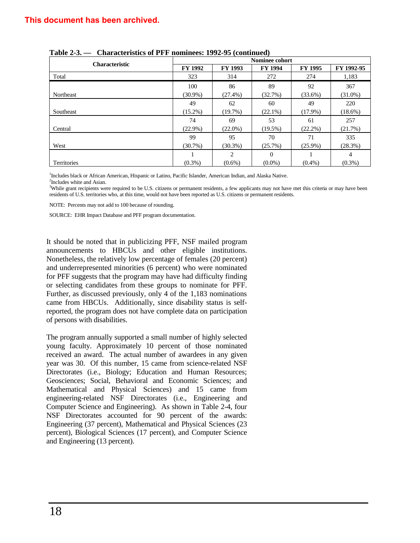## **This document has been archived.**

|                       |                | Nominee cohort |                |                |            |  |  |  |
|-----------------------|----------------|----------------|----------------|----------------|------------|--|--|--|
| <b>Characteristic</b> | <b>FY 1992</b> | FY 1993        | <b>FY 1994</b> | <b>FY 1995</b> | FY 1992-95 |  |  |  |
| Total                 | 323            | 314            | 272            | 274            | 1,183      |  |  |  |
|                       | 100            | 86             | 89             | 92             | 367        |  |  |  |
| Northeast             | $(30.9\%)$     | $(27.4\%)$     | (32.7%)        | $(33.6\%)$     | $(31.0\%)$ |  |  |  |
|                       | 49             | 62             | 60             | 49             | 220        |  |  |  |
| Southeast             | $(15.2\%)$     | (19.7%)        | $(22.1\%)$     | $(17.9\%)$     | $(18.6\%)$ |  |  |  |
|                       | 74             | 69             | 53             | 61             | 257        |  |  |  |
| Central               | $(22.9\%)$     | $(22.0\%)$     | $(19.5\%)$     | $(22.2\%)$     | (21.7%)    |  |  |  |
|                       | 99             | 95             | 70             | 71             | 335        |  |  |  |
| West                  | $(30.7\%)$     | $(30.3\%)$     | (25.7%)        | $(25.9\%)$     | (28.3%)    |  |  |  |
|                       |                | 2              | $\Omega$       |                | 4          |  |  |  |
| <b>Territories</b>    | $(0.3\%)$      | $(0.6\%)$      | $(0.0\%)$      | $(0.4\%)$      | $(0.3\%)$  |  |  |  |

<sup>1</sup>Includes black or African American, Hispanic or Latino, Pacific Islander, American Indian, and Alaska Native.

<sup>2</sup>Includes white and Asian.

<sup>3</sup>While grant recipients were required to be U.S. citizens or permanent residents, a few applicants may not have met this criteria or may have been residents of U.S. territories who, at this time, would not have been reported as U.S. citizens or permanent residents.

NOTE: Percents may not add to 100 because of rounding.

SOURCE: EHR Impact Database and PFF program documentation.

It should be noted that in publicizing PFF, NSF mailed program announcements to HBCUs and other eligible institutions. Nonetheless, the relatively low percentage of females (20 percent) and underrepresented minorities (6 percent) who were nominated for PFF suggests that the program may have had difficulty finding or selecting candidates from these groups to nominate for PFF. Further, as discussed previously, only 4 of the 1,183 nominations came from HBCUs. Additionally, since disability status is selfreported, the program does not have complete data on participation of persons with disabilities.

The program annually supported a small number of highly selected young faculty. Approximately 10 percent of those nominated received an award. The actual number of awardees in any given year was 30. Of this number, 15 came from science-related NSF Directorates (i.e., Biology; Education and Human Resources; Geosciences; Social, Behavioral and Economic Sciences; and Mathematical and Physical Sciences) and 15 came from engineering-related NSF Directorates (i.e., Engineering and Computer Science and Engineering). As shown in Table 2-4, four NSF Directorates accounted for 90 percent of the awards: Engineering (37 percent), Mathematical and Physical Sciences (23 percent), Biological Sciences (17 percent), and Computer Science and Engineering (13 percent).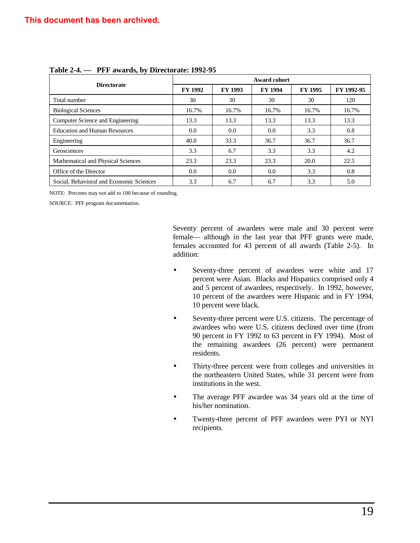|                                          | Award cohort   |                |                |                |            |  |  |
|------------------------------------------|----------------|----------------|----------------|----------------|------------|--|--|
| <b>Directorate</b>                       | <b>FY 1992</b> | <b>FY 1993</b> | <b>FY 1994</b> | <b>FY 1995</b> | FY 1992-95 |  |  |
| Total number                             | 30             | 30             | 30             | 30             | 120        |  |  |
| <b>Biological Sciences</b>               | 16.7%          | 16.7%          | 16.7%          | 16.7%          | 16.7%      |  |  |
| Computer Science and Engineering         | 13.3           | 13.3           | 13.3           | 13.3           | 13.3       |  |  |
| <b>Education and Human Resources</b>     | 0.0            | 0.0            | 0.0            | 3.3            | 0.8        |  |  |
| Engineering                              | 40.0           | 33.3           | 36.7           | 36.7           | 36.7       |  |  |
| Geosciences                              | 3.3            | 6.7            | 3.3            | 3.3            | 4.2        |  |  |
| Mathematical and Physical Sciences       | 23.3           | 23.3           | 23.3           | 20.0           | 22.5       |  |  |
| Office of the Director                   | 0.0            | 0.0            | 0.0            | 3.3            | 0.8        |  |  |
| Social, Behavioral and Economic Sciences | 3.3            | 6.7            | 6.7            | 3.3            | 5.0        |  |  |

## **Table 2-4. — PFF awards, by Directorate: 1992-95**

NOTE: Percents may not add to 100 because of rounding.

SOURCE: PFF program documentation.

Seventy percent of awardees were male and 30 percent were female— although in the last year that PFF grants were made, females accounted for 43 percent of all awards (Table 2-5). In addition:

- Seventy-three percent of awardees were white and 17 percent were Asian. Blacks and Hispanics comprised only 4 and 5 percent of awardees, respectively. In 1992, however, 10 percent of the awardees were Hispanic and in FY 1994, 10 percent were black.
- Seventy-three percent were U.S. citizens. The percentage of awardees who were U.S. citizens declined over time (from 90 percent in FY 1992 to 63 percent in FY 1994). Most of the remaining awardees (26 percent) were permanent residents.
- Thirty-three percent were from colleges and universities in the northeastern United States, while 31 percent were from institutions in the west.
- The average PFF awardee was 34 years old at the time of his/her nomination.
- Twenty-three percent of PFF awardees were PYI or NYI recipients.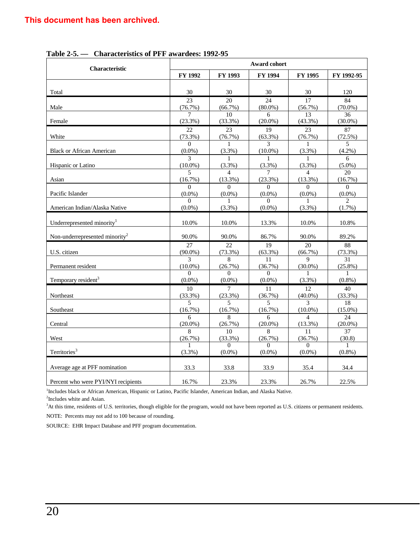| <b>Characteristic</b>                      | Award cohort          |                          |                       |                          |                          |  |
|--------------------------------------------|-----------------------|--------------------------|-----------------------|--------------------------|--------------------------|--|
|                                            | FY 1992               | FY 1993                  | <b>FY 1994</b>        | FY 1995                  | FY 1992-95               |  |
| Total                                      | 30                    | 30                       | 30                    | 30                       | 120                      |  |
| Male                                       | 23                    | 20                       | 24                    | 17                       | 84                       |  |
|                                            | (76.7%)               | (66.7%)                  | $(80.0\%)$            | (56.7%)                  | $(70.0\%)$               |  |
|                                            | 7                     | 10                       | 6                     | 13                       | 36                       |  |
| Female                                     | (23.3%)               | (33.3%)                  | $(20.0\%)$            | $(43.3\%)$               | $(30.0\%)$               |  |
| White                                      | 22                    | 23                       | $\overline{19}$       | 23                       | 87                       |  |
|                                            | (73.3%)               | (76.7%)                  | (63.3%)               | (76.7%)                  | (72.5%)                  |  |
| <b>Black or African American</b>           | $\Omega$              | $\mathbf{1}$             | 3                     | $\mathbf{1}$             | $\overline{5}$           |  |
|                                            | $(0.0\%)$             | $(3.3\%)$                | $(10.0\%)$            | $(3.3\%)$                | $(4.2\%)$                |  |
| Hispanic or Latino                         | 3                     | 1                        | 1                     | 1                        | 6                        |  |
|                                            | $(10.0\%)$            | (3.3%)                   | (3.3%)                | $(3.3\%)$                | $(5.0\%)$                |  |
| Asian                                      | 5                     | $\overline{\mathcal{L}}$ | 7                     | 4                        | 20                       |  |
|                                            | (16.7%)               | (13.3%)                  | (23.3%)               | $(13.3\%)$               | (16.7%)                  |  |
| Pacific Islander                           | $\Omega$              | $\Omega$                 | $\Omega$              | $\Omega$                 | $\Omega$                 |  |
|                                            | $(0.0\%)$             | $(0.0\%)$                | $(0.0\%)$             | $(0.0\%)$                | $(0.0\%)$                |  |
| American Indian/Alaska Native              | $\Omega$<br>$(0.0\%)$ | 1<br>(3.3%)              | $\Omega$<br>$(0.0\%)$ | $(3.3\%)$                | $\mathfrak{D}$<br>(1.7%) |  |
| Underrepresented minority <sup>1</sup>     | 10.0%                 | 10.0%                    | 13.3%                 | 10.0%                    | 10.8%                    |  |
| Non-underrepresented minority <sup>2</sup> | 90.0%                 | 90.0%                    | 86.7%                 | 90.0%                    | 89.2%                    |  |
| U.S. citizen                               | 27                    | 22.                      | 19                    | 20                       | 88                       |  |
|                                            | $(90.0\%)$            | (73.3%)                  | (63.3%)               | (66.7%)                  | (73.3%)                  |  |
| Permanent resident                         | 3                     | 8                        | 11                    | 9                        | 31                       |  |
|                                            | $(10.0\%)$            | (26.7%)                  | (36.7%)               | $(30.0\%)$               | $(25.8\%)$               |  |
| Temporary resident <sup>3</sup>            | $\Omega$              | $\Omega$                 | $\Omega$              | 1                        | 1                        |  |
|                                            | $(0.0\%)$             | $(0.0\%)$                | $(0.0\%)$             | (3.3%)                   | $(0.8\%)$                |  |
| Northeast                                  | 10                    | 7                        | 11                    | 12                       | 40                       |  |
|                                            | (33.3%)               | (23.3%)                  | (36.7%)               | $(40.0\%)$               | (33.3%)                  |  |
| Southeast                                  | $\overline{5}$        | $\overline{\phantom{0}}$ | $\overline{5}$        | $\mathcal{E}$            | 18                       |  |
|                                            | (16.7%)               | (16.7%)                  | (16.7%)               | $(10.0\%)$               | $(15.0\%)$               |  |
| Central                                    | 6                     | 8                        | 6                     | $\overline{\mathcal{A}}$ | 24                       |  |
|                                            | $(20.0\%)$            | (26.7%)                  | $(20.0\%)$            | (13.3%)                  | $(20.0\%)$               |  |
| West                                       | 8                     | 10                       | 8                     | 11                       | 37                       |  |
|                                            | (26.7%)               | $(33.3\%)$               | (26.7%)               | (36.7%)                  | (30.8)                   |  |
| Territories <sup>3</sup>                   | (3.3%)                | $\Omega$<br>$(0.0\%)$    | $\Omega$<br>$(0.0\%)$ | $\Omega$<br>$(0.0\%)$    | 1<br>$(0.8\%)$           |  |
| Average age at PFF nomination              | 33.3                  | 33.8                     | 33.9                  | 35.4                     | 34.4                     |  |
| Percent who were PYI/NYI recipients        | 16.7%                 | 23.3%                    | 23.3%                 | 26.7%                    | 22.5%                    |  |

**Table 2-5. — Characteristics of PFF awardees: 1992-95**

<sup>1</sup>Includes black or African American, Hispanic or Latino, Pacific Islander, American Indian, and Alaska Native.

<sup>2</sup>Includes white and Asian.

<sup>3</sup>At this time, residents of U.S. territories, though eligible for the program, would not have been reported as U.S. citizens or permanent residents.

NOTE: Percents may not add to 100 because of rounding.

SOURCE: EHR Impact Database and PFF program documentation.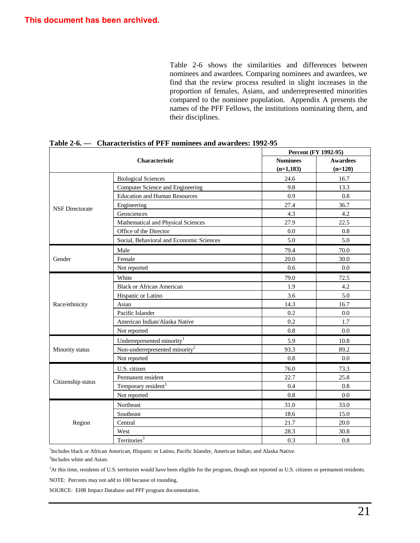Table 2-6 shows the similarities and differences between nominees and awardees. Comparing nominees and awardees, we find that the review process resulted in slight increases in the proportion of females, Asians, and underrepresented minorities compared to the nominee population. Appendix A presents the names of the PFF Fellows, the institutions nominating them, and their disciplines.

| <b>Characteristic</b>  |                                            | Percent (FY 1992-95) |                 |  |
|------------------------|--------------------------------------------|----------------------|-----------------|--|
|                        |                                            | <b>Nominees</b>      | <b>Awardees</b> |  |
|                        |                                            | $(n=1,183)$          | $(n=120)$       |  |
|                        | <b>Biological Sciences</b>                 | 24.6                 | 16.7            |  |
|                        | Computer Science and Engineering           | 9.8                  | 13.3            |  |
|                        | <b>Education and Human Resources</b>       | 0.9                  | 0.8             |  |
| <b>NSF</b> Directorate | Engineering                                | 27.4                 | 36.7            |  |
|                        | Geosciences                                | 4.3                  | 4.2             |  |
|                        | Mathematical and Physical Sciences         | 27.9                 | 22.5            |  |
|                        | Office of the Director                     | 0.0                  | 0.8             |  |
|                        | Social, Behavioral and Economic Sciences   | 5.0                  | 5.0             |  |
|                        | Male                                       | 79.4                 | 70.0            |  |
| Gender                 | Female                                     | 20.0                 | 30.0            |  |
|                        | Not reported                               | 0.6                  | $0.0\,$         |  |
|                        | White                                      | 79.0                 | 72.5            |  |
|                        | <b>Black or African American</b>           | 1.9                  | 4.2             |  |
|                        | Hispanic or Latino                         | 3.6                  | 5.0             |  |
| Race/ethnicity         | Asian                                      | 14.3                 | 16.7            |  |
|                        | Pacific Islander                           | 0.2                  | 0.0             |  |
|                        | American Indian/Alaska Native              | 0.2                  | 1.7             |  |
|                        | Not reported                               | 0.8                  | 0.0             |  |
|                        | Underrepresented minority <sup>1</sup>     | 5.9                  | 10.8            |  |
| Minority status        | Non-underrepresented minority <sup>2</sup> | 93.3                 | 89.2            |  |
|                        | Not reported                               | 0.8                  | 0.0             |  |
|                        | U.S. citizen                               | 76.0                 | 73.3            |  |
|                        | Permanent resident                         | 22.7                 | 25.8            |  |
| Citizenship status     | Temporary resident <sup>3</sup>            | 0.4                  | 0.8             |  |
|                        | Not reported                               | 0.8                  | 0.0             |  |
|                        | Northeast                                  | 31.0                 | 33.0            |  |
|                        | Southeast                                  | 18.6                 | 15.0            |  |
| Region                 | Central                                    | 21.7                 | 20.0            |  |
|                        | West                                       | 28.3                 | 30.8            |  |
|                        | Territories $\overline{\text{3}}$          | 0.3                  | 0.8             |  |

**Table 2-6. — Characteristics of PFF nominees and awardees: 1992-95**

<sup>1</sup>Includes black or African American, Hispanic or Latino, Pacific Islander, American Indian, and Alaska Native.

<sup>2</sup>Includes white and Asian.

<sup>3</sup>At this time, residents of U.S. territories would have been eligible for the program, though not reported as U.S. citizens or permanent residents.

NOTE: Percents may not add to 100 because of rounding.

SOURCE: EHR Impact Database and PFF program documentation.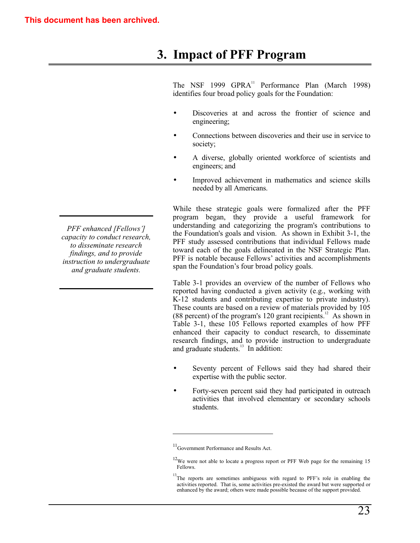# **3. Impact of PFF Program**

The NSF 1999 GPRA<sup>11</sup> Performance Plan (March 1998) identifies four broad policy goals for the Foundation:

- Discoveries at and across the frontier of science and engineering;
- Connections between discoveries and their use in service to society;
- A diverse, globally oriented workforce of scientists and engineers; and
- Improved achievement in mathematics and science skills needed by all Americans.

While these strategic goals were formalized after the PFF program began, they provide a useful framework for understanding and categorizing the program's contributions to the Foundation's goals and vision. As shown in Exhibit 3-1, the PFF study assessed contributions that individual Fellows made toward each of the goals delineated in the NSF Strategic Plan. PFF is notable because Fellows' activities and accomplishments span the Foundation's four broad policy goals.

Table 3-1 provides an overview of the number of Fellows who reported having conducted a given activity (e.g., working with K-12 students and contributing expertise to private industry). These counts are based on a review of materials provided by 105 (88 percent) of the program's 120 grant recipients.<sup>12</sup> As shown in Table 3-1, these 105 Fellows reported examples of how PFF enhanced their capacity to conduct research, to disseminate research findings, and to provide instruction to undergraduate and graduate students. $^{13}$  In addition:

- Seventy percent of Fellows said they had shared their expertise with the public sector.
- Forty-seven percent said they had participated in outreach activities that involved elementary or secondary schools students.

 $\overline{a}$ 

*PFF enhanced [Fellows'] capacity to conduct research, to disseminate research findings, and to provide instruction to undergraduate and graduate students.*

 $11$ <sub>Government Performance and Results Act.</sub>

 $12$ We were not able to locate a progress report or PFF Web page for the remaining 15 Fellows.

<sup>&</sup>lt;sup>13</sup>The reports are sometimes ambiguous with regard to PFF's role in enabling the activities reported. That is, some activities pre-existed the award but were supported or enhanced by the award; others were made possible because of the support provided.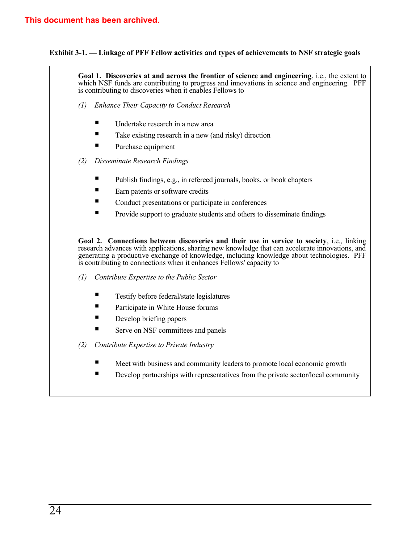## **Exhibit 3-1. – Linkage of PFF Fellow activities and types of achievements to NSF strategic goals**

**Goal 1. Discoveries at and across the frontier of science and engineering**, i.e., the extent to which NSF funds are contributing to progress and innovations in science and engineering. PFF is contributing to discoveries when it enables Fellows to

- *(1) Enhance Their Capacity to Conduct Research*
	- $\blacksquare$  Undertake research in a new area
	- $\blacksquare$  Take existing research in a new (and risky) direction
	- Purchase equipment
- *(2) Disseminate Research Findings*
	- Publish findings, e.g., in refereed journals, books, or book chapters
	- $\blacksquare$  Earn patents or software credits
	- Conduct presentations or participate in conferences
	- **EXECUTE:** Provide support to graduate students and others to disseminate findings

**Goal 2. Connections between discoveries and their use in service to society**, i.e., linking research advances with applications, sharing new knowledge that can accelerate innovations, and generating a productive exchange of knowledge, including knowledge about technologies. PFF is contributing to connections when it enhances Fellows' capacity to

- *(1) Contribute Expertise to the Public Sector*
	- $\blacksquare$  Testify before federal/state legislatures
	- **Exercise** Participate in White House forums
	- $\blacksquare$  Develop briefing papers
	- $\blacksquare$  Serve on NSF committees and panels
- *(2) Contribute Expertise to Private Industry*
	- Meet with business and community leaders to promote local economic growth
	- **Example 1** Develop partnerships with representatives from the private sector/local community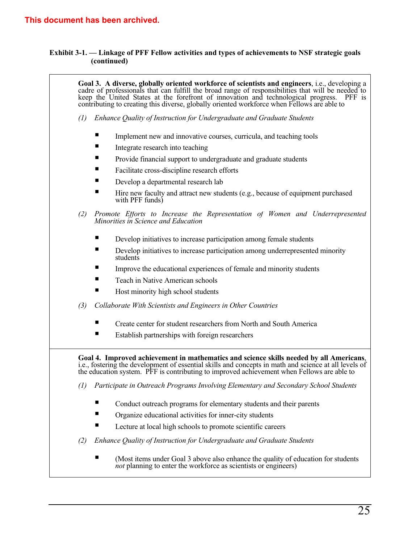## **Exhibit 3-1. – Linkage of PFF Fellow activities and types of achievements to NSF strategic goals (continued)**

|                   | Goal 3. A diverse, globally oriented workforce of scientists and engineers, i.e., developing a<br>cadre of professionals that can fulfill the broad range of responsibilities that will be needed to keep the United States at the forefront of innovation and technological progress. PFF is<br>contributing to creating this diverse, globally oriented workforce when Fellows are able to |
|-------------------|----------------------------------------------------------------------------------------------------------------------------------------------------------------------------------------------------------------------------------------------------------------------------------------------------------------------------------------------------------------------------------------------|
| (1)               | Enhance Quality of Instruction for Undergraduate and Graduate Students                                                                                                                                                                                                                                                                                                                       |
|                   | Implement new and innovative courses, curricula, and teaching tools                                                                                                                                                                                                                                                                                                                          |
|                   | Integrate research into teaching                                                                                                                                                                                                                                                                                                                                                             |
|                   | п<br>Provide financial support to undergraduate and graduate students                                                                                                                                                                                                                                                                                                                        |
|                   | Facilitate cross-discipline research efforts                                                                                                                                                                                                                                                                                                                                                 |
|                   | ш<br>Develop a departmental research lab                                                                                                                                                                                                                                                                                                                                                     |
|                   | п<br>Hire new faculty and attract new students (e.g., because of equipment purchased<br>with PFF funds)                                                                                                                                                                                                                                                                                      |
| (2)               | Promote Efforts to Increase the Representation of Women and Underrepresented<br>Minorities in Science and Education                                                                                                                                                                                                                                                                          |
|                   | п<br>Develop initiatives to increase participation among female students                                                                                                                                                                                                                                                                                                                     |
|                   | ■<br>Develop initiatives to increase participation among underrepresented minority<br>students                                                                                                                                                                                                                                                                                               |
|                   | Improve the educational experiences of female and minority students                                                                                                                                                                                                                                                                                                                          |
|                   | Teach in Native American schools                                                                                                                                                                                                                                                                                                                                                             |
|                   | Host minority high school students                                                                                                                                                                                                                                                                                                                                                           |
| (3)               | Collaborate With Scientists and Engineers in Other Countries                                                                                                                                                                                                                                                                                                                                 |
|                   | Create center for student researchers from North and South America                                                                                                                                                                                                                                                                                                                           |
|                   | Establish partnerships with foreign researchers                                                                                                                                                                                                                                                                                                                                              |
|                   | Goal 4. Improved achievement in mathematics and science skills needed by all Americans,<br>i.e., fostering the development of essential skills and concepts in math and science at all levels of the education system. PFF is contributing to improved achievement when Fellows are able to                                                                                                  |
| $\left( l\right)$ | Participate in Outreach Programs Involving Elementary and Secondary School Students                                                                                                                                                                                                                                                                                                          |
|                   | п<br>Conduct outreach programs for elementary students and their parents                                                                                                                                                                                                                                                                                                                     |
|                   | ш<br>Organize educational activities for inner-city students                                                                                                                                                                                                                                                                                                                                 |
|                   | ш<br>Lecture at local high schools to promote scientific careers                                                                                                                                                                                                                                                                                                                             |
| (2)               | Enhance Quality of Instruction for Undergraduate and Graduate Students                                                                                                                                                                                                                                                                                                                       |
|                   | (Most items under Goal 3 above also enhance the quality of education for students<br>not planning to enter the workforce as scientists or engineers)                                                                                                                                                                                                                                         |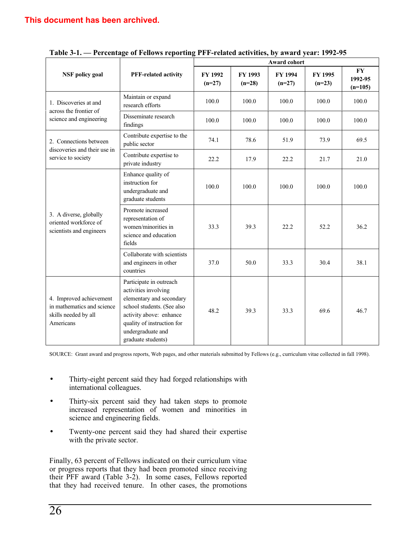|                                                                                            |                                                                                                                                                                                                               |                            |                            | Award cohort        |                     |                                   |
|--------------------------------------------------------------------------------------------|---------------------------------------------------------------------------------------------------------------------------------------------------------------------------------------------------------------|----------------------------|----------------------------|---------------------|---------------------|-----------------------------------|
| <b>NSF</b> policy goal                                                                     | <b>PFF-related activity</b>                                                                                                                                                                                   | <b>FY 1992</b><br>$(n=27)$ | <b>FY 1993</b><br>$(n=28)$ | FY 1994<br>$(n=27)$ | FY 1995<br>$(n=23)$ | $\bf{F}Y$<br>1992-95<br>$(n=105)$ |
| 1. Discoveries at and<br>across the frontier of                                            | Maintain or expand<br>research efforts                                                                                                                                                                        | 100.0                      | 100.0                      | 100.0               | 100.0               | 100.0                             |
| science and engineering                                                                    | Disseminate research<br>findings                                                                                                                                                                              | 100.0                      | 100.0                      | 100.0               | 100.0               | 100.0                             |
| 2. Connections between<br>discoveries and their use in<br>service to society               | Contribute expertise to the<br>public sector                                                                                                                                                                  | 74.1                       | 78.6                       | 51.9                | 73.9                | 69.5                              |
|                                                                                            | Contribute expertise to<br>private industry                                                                                                                                                                   | 22.2                       | 17.9                       | 22.2                | 21.7                | 21.0                              |
|                                                                                            | Enhance quality of<br>instruction for<br>undergraduate and<br>graduate students                                                                                                                               | 100.0                      | 100.0                      | 100.0               | 100.0               | 100.0                             |
| 3. A diverse, globally<br>oriented workforce of<br>scientists and engineers                | Promote increased<br>representation of<br>women/minorities in<br>science and education<br>fields                                                                                                              | 33.3                       | 39.3                       | 22.2                | 52.2                | 36.2                              |
|                                                                                            | Collaborate with scientists<br>and engineers in other<br>countries                                                                                                                                            | 37.0                       | 50.0                       | 33.3                | 30.4                | 38.1                              |
| 4. Improved achievement<br>in mathematics and science<br>skills needed by all<br>Americans | Participate in outreach<br>activities involving<br>elementary and secondary<br>school students. (See also<br>activity above: enhance<br>quality of instruction for<br>undergraduate and<br>graduate students) | 48.2                       | 39.3                       | 33.3                | 69.6                | 46.7                              |

| Table 3-1. - Percentage of Fellows reporting PFF-related activities, by award year: 1992-95 |  |  |
|---------------------------------------------------------------------------------------------|--|--|
|---------------------------------------------------------------------------------------------|--|--|

SOURCE: Grant award and progress reports, Web pages, and other materials submitted by Fellows (e.g., curriculum vitae collected in fall 1998).

- Thirty-eight percent said they had forged relationships with international colleagues.
- Thirty-six percent said they had taken steps to promote increased representation of women and minorities in science and engineering fields.
- Twenty-one percent said they had shared their expertise with the private sector.

Finally, 63 percent of Fellows indicated on their curriculum vitae or progress reports that they had been promoted since receiving their PFF award (Table 3-2). In some cases, Fellows reported that they had received tenure. In other cases, the promotions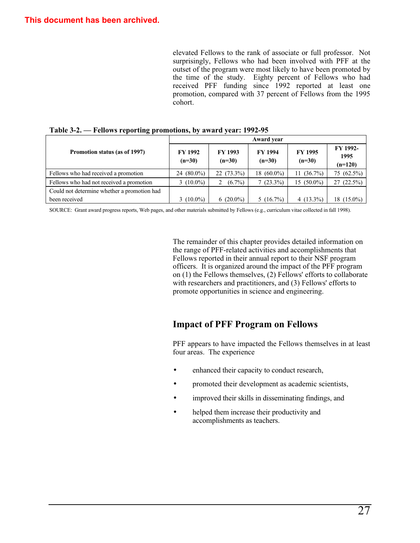elevated Fellows to the rank of associate or full professor. Not surprisingly, Fellows who had been involved with PFF at the outset of the program were most likely to have been promoted by the time of the study. Eighty percent of Fellows who had received PFF funding since 1992 reported at least one promotion, compared with 37 percent of Fellows from the 1995 cohort.

|                                             | Award year                 |                            |                            |                            |                               |  |  |
|---------------------------------------------|----------------------------|----------------------------|----------------------------|----------------------------|-------------------------------|--|--|
| Promotion status (as of 1997)               | <b>FY 1992</b><br>$(n=30)$ | <b>FY 1993</b><br>$(n=30)$ | <b>FY 1994</b><br>$(n=30)$ | <b>FY 1995</b><br>$(n=30)$ | FY 1992-<br>1995<br>$(n=120)$ |  |  |
| Fellows who had received a promotion        | $(80.0\%)$<br>24           | $22(73.3\%)$               | 18 $(60.0\%)$              | $(36.7\%)$<br>11           | 75 (62.5%)                    |  |  |
| Fellows who had not received a promotion    | 3 $(10.0\%)$               | $(6.7\%)$                  | $7(23.3\%)$                | $15(50.0\%)$               | $27(22.5\%)$                  |  |  |
| Could not determine whether a promotion had |                            |                            |                            |                            |                               |  |  |
| been received                               | 3 $(10.0\%)$               | $6(20.0\%)$                | $5(16.7\%)$                | 4 $(13.3\%)$               | 18 (15.0%)                    |  |  |

**Table 3-2. – Fellows reporting promotions, by award year: 1992-95**

SOURCE: Grant award progress reports, Web pages, and other materials submitted by Fellows (e.g., curriculum vitae collected in fall 1998).

The remainder of this chapter provides detailed information on the range of PFF-related activities and accomplishments that Fellows reported in their annual report to their NSF program officers. It is organized around the impact of the PFF program on (1) the Fellows themselves, (2) Fellows' efforts to collaborate with researchers and practitioners, and (3) Fellows' efforts to promote opportunities in science and engineering.

## **Impact of PFF Program on Fellows**

PFF appears to have impacted the Fellows themselves in at least four areas. The experience

- enhanced their capacity to conduct research,
- promoted their development as academic scientists,
- improved their skills in disseminating findings, and
- helped them increase their productivity and accomplishments as teachers.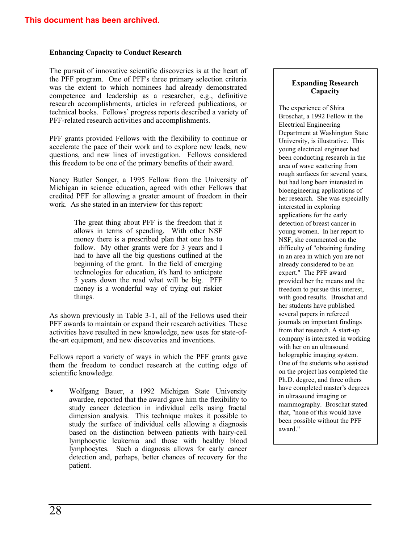### **Enhancing Capacity to Conduct Research**

The pursuit of innovative scientific discoveries is at the heart of the PFF program. One of PFF's three primary selection criteria was the extent to which nominees had already demonstrated competence and leadership as a researcher, e.g., definitive research accomplishments, articles in refereed publications, or technical books. Fellows' progress reports described a variety of PFF-related research activities and accomplishments.

PFF grants provided Fellows with the flexibility to continue or accelerate the pace of their work and to explore new leads, new questions, and new lines of investigation. Fellows considered this freedom to be one of the primary benefits of their award.

Nancy Butler Songer, a 1995 Fellow from the University of Michigan in science education, agreed with other Fellows that credited PFF for allowing a greater amount of freedom in their work. As she stated in an interview for this report:

> The great thing about PFF is the freedom that it allows in terms of spending. With other NSF money there is a prescribed plan that one has to follow. My other grants were for 3 years and I had to have all the big questions outlined at the beginning of the grant. In the field of emerging technologies for education, it's hard to anticipate 5 years down the road what will be big. PFF money is a wonderful way of trying out riskier things.

As shown previously in Table 3-1, all of the Fellows used their PFF awards to maintain or expand their research activities. These activities have resulted in new knowledge, new uses for state-ofthe-art equipment, and new discoveries and inventions.

Fellows report a variety of ways in which the PFF grants gave them the freedom to conduct research at the cutting edge of scientific knowledge.

• Wolfgang Bauer, a 1992 Michigan State University awardee, reported that the award gave him the flexibility to study cancer detection in individual cells using fractal dimension analysis. This technique makes it possible to study the surface of individual cells allowing a diagnosis based on the distinction between patients with hairy-cell lymphocytic leukemia and those with healthy blood lymphocytes. Such a diagnosis allows for early cancer detection and, perhaps, better chances of recovery for the patient.

### **Expanding Research Capacity**

The experience of Shira Broschat, a 1992 Fellow in the Electrical Engineering Department at Washington State University, is illustrative. This young electrical engineer had been conducting research in the area of wave scattering from rough surfaces for several years, but had long been interested in bioengineering applications of her research. She was especially interested in exploring applications for the early detection of breast cancer in young women. In her report to NSF, she commented on the difficulty of "obtaining funding in an area in which you are not already considered to be an expert." The PFF award provided her the means and the freedom to pursue this interest, with good results. Broschat and her students have published several papers in refereed journals on important findings from that research. A start-up company is interested in working with her on an ultrasound holographic imaging system. One of the students who assisted on the project has completed the Ph.D. degree, and three others have completed master's degrees in ultrasound imaging or mammography. Broschat stated that, "none of this would have been possible without the PFF award."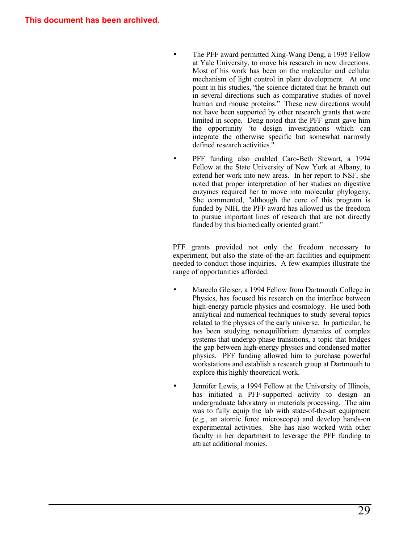- The PFF award permitted Xing-Wang Deng, a 1995 Fellow at Yale University, to move his research in new directions. Most of his work has been on the molecular and cellular mechanism of light control in plant development. At one point in his studies, "the science dictated that he branch out in several directions such as comparative studies of novel human and mouse proteins." These new directions would not have been supported by other research grants that were limited in scope. Deng noted that the PFF grant gave him the opportunity "to design investigations which can integrate the otherwise specific but somewhat narrowly defined research activities."
- PFF funding also enabled Caro-Beth Stewart, a 1994 Fellow at the State University of New York at Albany, to extend her work into new areas. In her report to NSF, she noted that proper interpretation of her studies on digestive enzymes required her to move into molecular phylogeny. She commented, "although the core of this program is funded by NIH, the PFF award has allowed us the freedom to pursue important lines of research that are not directly funded by this biomedically oriented grant."

PFF grants provided not only the freedom necessary to experiment, but also the state-of-the-art facilities and equipment needed to conduct those inquiries. A few examples illustrate the range of opportunities afforded.

- Marcelo Gleiser, a 1994 Fellow from Dartmouth College in Physics, has focused his research on the interface between high-energy particle physics and cosmology. He used both analytical and numerical techniques to study several topics related to the physics of the early universe. In particular, he has been studying nonequilibrium dynamics of complex systems that undergo phase transitions, a topic that bridges the gap between high-energy physics and condensed matter physics. PFF funding allowed him to purchase powerful workstations and establish a research group at Dartmouth to explore this highly theoretical work.
- Jennifer Lewis, a 1994 Fellow at the University of Illinois, has initiated a PFF-supported activity to design an undergraduate laboratory in materials processing. The aim was to fully equip the lab with state-of-the-art equipment (e.g., an atomic force microscope) and develop hands-on experimental activities. She has also worked with other faculty in her department to leverage the PFF funding to attract additional monies.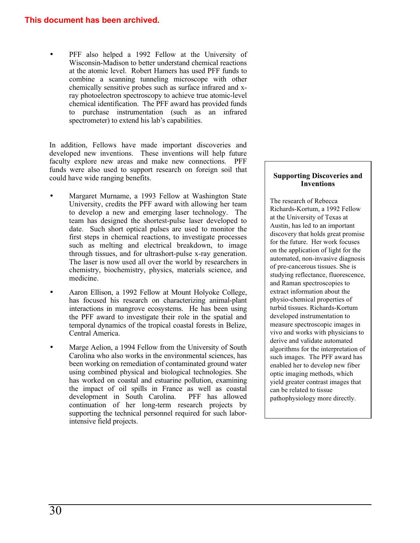## **This document has been archived.**

PFF also helped a 1992 Fellow at the University of Wisconsin-Madison to better understand chemical reactions at the atomic level. Robert Hamers has used PFF funds to combine a scanning tunneling microscope with other chemically sensitive probes such as surface infrared and xray photoelectron spectroscopy to achieve true atomic-level chemical identification. The PFF award has provided funds to purchase instrumentation (such as an infrared spectrometer) to extend his lab's capabilities.

In addition, Fellows have made important discoveries and developed new inventions. These inventions will help future faculty explore new areas and make new connections. PFF funds were also used to support research on foreign soil that could have wide ranging benefits.

- Margaret Murname, a 1993 Fellow at Washington State University, credits the PFF award with allowing her team to develop a new and emerging laser technology. The team has designed the shortest-pulse laser developed to date. Such short optical pulses are used to monitor the first steps in chemical reactions, to investigate processes such as melting and electrical breakdown, to image through tissues, and for ultrashort-pulse x-ray generation. The laser is now used all over the world by researchers in chemistry, biochemistry, physics, materials science, and medicine.
- Aaron Ellison, a 1992 Fellow at Mount Holyoke College, has focused his research on characterizing animal-plant interactions in mangrove ecosystems. He has been using the PFF award to investigate their role in the spatial and temporal dynamics of the tropical coastal forests in Belize, Central America.
- Marge Aelion, a 1994 Fellow from the University of South Carolina who also works in the environmental sciences, has been working on remediation of contaminated ground water using combined physical and biological technologies. She has worked on coastal and estuarine pollution, examining the impact of oil spills in France as well as coastal development in South Carolina. PFF has allowed development in South Carolina. continuation of her long-term research projects by supporting the technical personnel required for such laborintensive field projects.

## **Supporting Discoveries and Inventions**

The research of Rebecca Richards-Kortum, a 1992 Fellow at the University of Texas at Austin, has led to an important discovery that holds great promise for the future. Her work focuses on the application of light for the automated, non-invasive diagnosis of pre-cancerous tissues. She is studying reflectance, fluorescence, and Raman spectroscopies to extract information about the physio-chemical properties of turbid tissues. Richards-Kortum developed instrumentation to measure spectroscopic images in vivo and works with physicians to derive and validate automated algorithms for the interpretation of such images. The PFF award has enabled her to develop new fiber optic imaging methods, which yield greater contrast images that can be related to tissue pathophysiology more directly.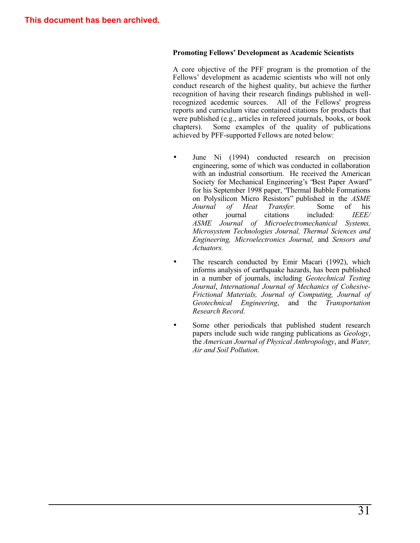#### **Promoting Fellows' Development as Academic Scientists**

A core objective of the PFF program is the promotion of the Fellows' development as academic scientists who will not only conduct research of the highest quality, but achieve the further recognition of having their research findings published in wellrecognized acedemic sources. All of the Fellows' progress reports and curriculum vitae contained citations for products that were published (e.g., articles in refereed journals, books, or book chapters). Some examples of the quality of publications achieved by PFF-supported Fellows are noted below:

- June Ni (1994) conducted research on precision engineering, some of which was conducted in collaboration with an industrial consortium. He received the American Society for Mechanical Engineering's "Best Paper Award" for his September 1998 paper, "Thermal Bubble Formations on Polysilicon Micro Resistors" published in the *ASME Journal of Heat Transfer.* Some of his other journal citations included: *IEEE/* other journal citations included: *IEEE/ ASME Journal of Microelectromechanical Systems, Microsystem Technologies Journal, Thermal Sciences and Engineering, Microelectronics Journal,* and *Sensors and Actuators.*
- The research conducted by Emir Macari (1992), which informs analysis of earthquake hazards, has been published in a number of journals, including *Geotechnical Testing Journal*, *International Journal of Mechanics of Cohesive-Frictional Materials, Journal of Computing, Journal of Geotechnical Engineering*, and the *Transportation Research Record*.
- Some other periodicals that published student research papers include such wide ranging publications as *Geology*, the *American Journal of Physical Anthropology*, and *Water, Air and Soil Pollution*.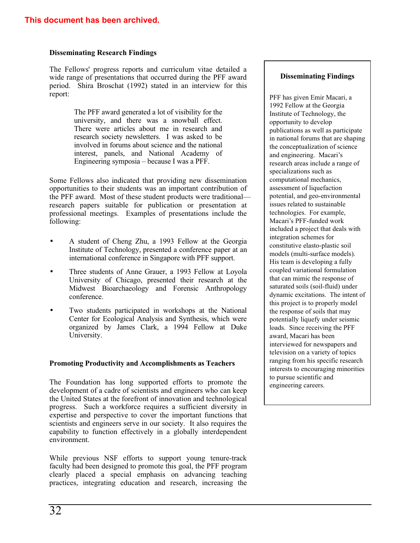## **Disseminating Research Findings**

The Fellows' progress reports and curriculum vitae detailed a wide range of presentations that occurred during the PFF award period. Shira Broschat (1992) stated in an interview for this report:

> The PFF award generated a lot of visibility for the university, and there was a snowball effect. There were articles about me in research and research society newsletters. I was asked to be involved in forums about science and the national interest, panels, and National Academy of Engineering symposia — because I was a PFF.

Some Fellows also indicated that providing new dissemination opportunities to their students was an important contribution of the PFF award. Most of these student products were traditional– research papers suitable for publication or presentation at professional meetings. Examples of presentations include the following:

- A student of Cheng Zhu, a 1993 Fellow at the Georgia Institute of Technology, presented a conference paper at an international conference in Singapore with PFF support.
- Three students of Anne Grauer, a 1993 Fellow at Loyola University of Chicago, presented their research at the Midwest Bioarchaeology and Forensic Anthropology conference.
- Two students participated in workshops at the National Center for Ecological Analysis and Synthesis, which were organized by James Clark, a 1994 Fellow at Duke University.

## **Promoting Productivity and Accomplishments as Teachers**

The Foundation has long supported efforts to promote the development of a cadre of scientists and engineers who can keep the United States at the forefront of innovation and technological progress. Such a workforce requires a sufficient diversity in expertise and perspective to cover the important functions that scientists and engineers serve in our society. It also requires the capability to function effectively in a globally interdependent environment.

While previous NSF efforts to support young tenure-track faculty had been designed to promote this goal, the PFF program clearly placed a special emphasis on advancing teaching practices, integrating education and research, increasing the

### **Disseminating Findings**

PFF has given Emir Macari, a 1992 Fellow at the Georgia Institute of Technology, the opportunity to develop publications as well as participate in national forums that are shaping the conceptualization of science and engineering. Macari's research areas include a range of specializations such as computational mechanics, assessment of liquefaction potential, and geo-environmental issues related to sustainable technologies. For example, Macari's PFF-funded work included a project that deals with integration schemes for constitutive elasto-plastic soil models (multi-surface models). His team is developing a fully coupled variational formulation that can mimic the response of saturated soils (soil-fluid) under dynamic excitations. The intent of this project is to properly model the response of soils that may potentially liquefy under seismic loads. Since receiving the PFF award, Macari has been interviewed for newspapers and television on a variety of topics ranging from his specific research interests to encouraging minorities to pursue scientific and engineering careers.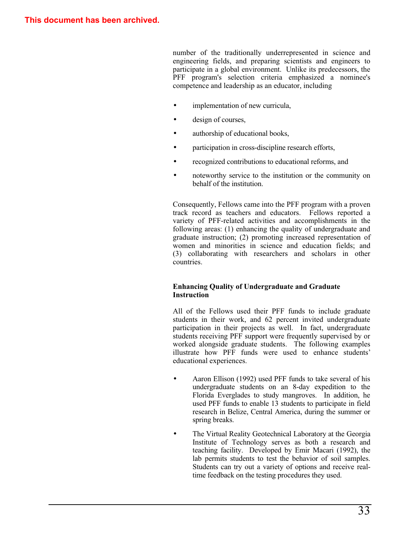number of the traditionally underrepresented in science and engineering fields, and preparing scientists and engineers to participate in a global environment. Unlike its predecessors, the PFF program's selection criteria emphasized a nominee's competence and leadership as an educator, including

- implementation of new curricula,
- design of courses,
- authorship of educational books,
- participation in cross-discipline research efforts,
- recognized contributions to educational reforms, and
- noteworthy service to the institution or the community on behalf of the institution.

Consequently, Fellows came into the PFF program with a proven track record as teachers and educators. Fellows reported a variety of PFF-related activities and accomplishments in the following areas: (1) enhancing the quality of undergraduate and graduate instruction; (2) promoting increased representation of women and minorities in science and education fields; and (3) collaborating with researchers and scholars in other countries.

## **Enhancing Quality of Undergraduate and Graduate Instruction**

All of the Fellows used their PFF funds to include graduate students in their work, and 62 percent invited undergraduate participation in their projects as well. In fact, undergraduate students receiving PFF support were frequently supervised by or worked alongside graduate students. The following examples illustrate how PFF funds were used to enhance students' educational experiences.

- Aaron Ellison (1992) used PFF funds to take several of his undergraduate students on an 8-day expedition to the Florida Everglades to study mangroves. In addition, he used PFF funds to enable 13 students to participate in field research in Belize, Central America, during the summer or spring breaks.
- The Virtual Reality Geotechnical Laboratory at the Georgia Institute of Technology serves as both a research and teaching facility. Developed by Emir Macari (1992), the lab permits students to test the behavior of soil samples. Students can try out a variety of options and receive realtime feedback on the testing procedures they used.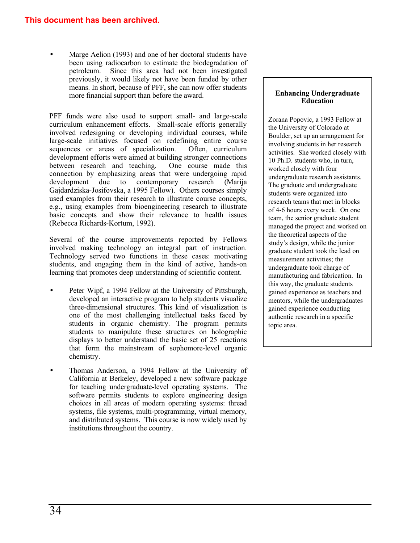Marge Aelion (1993) and one of her doctoral students have been using radiocarbon to estimate the biodegradation of petroleum. Since this area had not been investigated previously, it would likely not have been funded by other means. In short, because of PFF, she can now offer students more financial support than before the award.

PFF funds were also used to support small- and large-scale curriculum enhancement efforts. Small-scale efforts generally involved redesigning or developing individual courses, while large-scale initiatives focused on redefining entire course<br>sequences or areas of specialization. Often, curriculum sequences or areas of specialization. development efforts were aimed at building stronger connections<br>between research and teaching. One course made this between research and teaching. connection by emphasizing areas that were undergoing rapid<br>development due to contemporary research (Marija development due to contemporary research (Marija Gajdardziska-Josifovska, a 1995 Fellow). Others courses simply used examples from their research to illustrate course concepts, e.g., using examples from bioengineering research to illustrate basic concepts and show their relevance to health issues (Rebecca Richards-Kortum, 1992).

Several of the course improvements reported by Fellows involved making technology an integral part of instruction. Technology served two functions in these cases: motivating students, and engaging them in the kind of active, hands-on learning that promotes deep understanding of scientific content.

- Peter Wipf, a 1994 Fellow at the University of Pittsburgh, developed an interactive program to help students visualize three-dimensional structures. This kind of visualization is one of the most challenging intellectual tasks faced by students in organic chemistry. The program permits students to manipulate these structures on holographic displays to better understand the basic set of 25 reactions that form the mainstream of sophomore-level organic chemistry.
- Thomas Anderson, a 1994 Fellow at the University of California at Berkeley, developed a new software package for teaching undergraduate-level operating systems. The software permits students to explore engineering design choices in all areas of modern operating systems: thread systems, file systems, multi-programming, virtual memory, and distributed systems. This course is now widely used by institutions throughout the country.

## **Enhancing Undergraduate Education**

Zorana Popovic, a 1993 Fellow at the University of Colorado at Boulder, set up an arrangement for involving students in her research activities. She worked closely with 10 Ph.D. students who, in turn, worked closely with four undergraduate research assistants. The graduate and undergraduate students were organized into research teams that met in blocks of 4-6 hours every week. On one team, the senior graduate student managed the project and worked on the theoretical aspects of the study's design, while the junior graduate student took the lead on measurement activities; the undergraduate took charge of manufacturing and fabrication. In this way, the graduate students gained experience as teachers and mentors, while the undergraduates gained experience conducting authentic research in a specific topic area.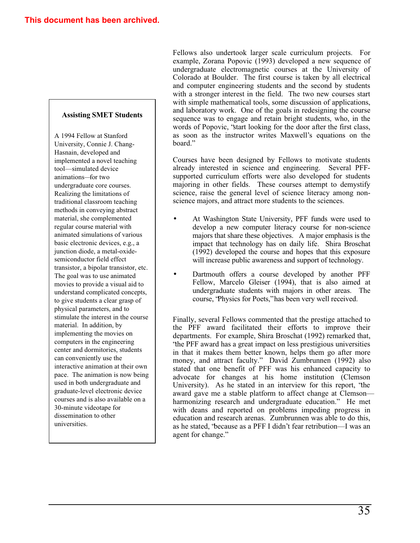## **Assisting SMET Students**

A 1994 Fellow at Stanford University, Connie J. Chang-Hasnain, developed and implemented a novel teaching tool– simulated device animations– for two undergraduate core courses. Realizing the limitations of traditional classroom teaching methods in conveying abstract material, she complemented regular course material with animated simulations of various basic electronic devices, e.g., a junction diode, a metal-oxidesemiconductor field effect transistor, a bipolar transistor, etc. The goal was to use animated movies to provide a visual aid to understand complicated concepts, to give students a clear grasp of physical parameters, and to stimulate the interest in the course material. In addition, by implementing the movies on computers in the engineering center and dormitories, students can conveniently use the interactive animation at their own pace. The animation is now being used in both undergraduate and graduate-level electronic device courses and is also available on a 30-minute videotape for dissemination to other universities.

Fellows also undertook larger scale curriculum projects. For example, Zorana Popovic (1993) developed a new sequence of undergraduate electromagnetic courses at the University of Colorado at Boulder. The first course is taken by all electrical and computer engineering students and the second by students with a stronger interest in the field. The two new courses start with simple mathematical tools, some discussion of applications, and laboratory work. One of the goals in redesigning the course sequence was to engage and retain bright students, who, in the words of Popovic, "start looking for the door after the first class, as soon as the instructor writes Maxwell's equations on the board."

Courses have been designed by Fellows to motivate students already interested in science and engineering. Several PFFsupported curriculum efforts were also developed for students majoring in other fields. These courses attempt to demystify science, raise the general level of science literacy among nonscience majors, and attract more students to the sciences.

- At Washington State University, PFF funds were used to develop a new computer literacy course for non-science majors that share these objectives. A major emphasis is the impact that technology has on daily life. Shira Broschat (1992) developed the course and hopes that this exposure will increase public awareness and support of technology.
- Dartmouth offers a course developed by another PFF Fellow, Marcelo Gleiser (1994), that is also aimed at undergraduate students with majors in other areas. The course, "Physics for Poets," has been very well received.

Finally, several Fellows commented that the prestige attached to the PFF award facilitated their efforts to improve their departments. For example, Shira Broschat (1992) remarked that, "the PFF award has a great impact on less prestigious universities in that it makes them better known, helps them go after more money, and attract faculty." David Zumbrunnen (1992) also stated that one benefit of PFF was his enhanced capacity to advocate for changes at his home institution (Clemson University). As he stated in an interview for this report, "the award gave me a stable platform to affect change at Clemson– harmonizing research and undergraduate education." He met with deans and reported on problems impeding progress in education and research arenas. Zumbrunnen was able to do this, as he stated, "because as a PFF I didn't fear retribution– I was an agent for change."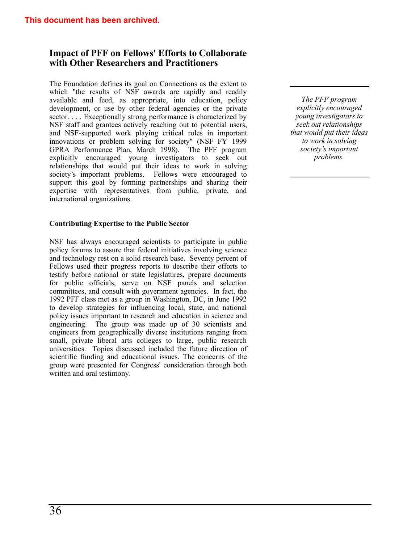## **Impact of PFF on Fellows' Efforts to Collaborate with Other Researchers and Practitioners**

The Foundation defines its goal on Connections as the extent to which "the results of NSF awards are rapidly and readily available and feed, as appropriate, into education, policy development, or use by other federal agencies or the private sector. . . . Exceptionally strong performance is characterized by NSF staff and grantees actively reaching out to potential users, and NSF-supported work playing critical roles in important innovations or problem solving for society" (NSF FY 1999 GPRA Performance Plan, March 1998). The PFF program explicitly encouraged young investigators to seek out relationships that would put their ideas to work in solving society's important problems. Fellows were encouraged to support this goal by forming partnerships and sharing their expertise with representatives from public, private, and international organizations.

### **Contributing Expertise to the Public Sector**

NSF has always encouraged scientists to participate in public policy forums to assure that federal initiatives involving science and technology rest on a solid research base. Seventy percent of Fellows used their progress reports to describe their efforts to testify before national or state legislatures, prepare documents for public officials, serve on NSF panels and selection committees, and consult with government agencies. In fact, the 1992 PFF class met as a group in Washington, DC, in June 1992 to develop strategies for influencing local, state, and national policy issues important to research and education in science and engineering. The group was made up of 30 scientists and engineers from geographically diverse institutions ranging from small, private liberal arts colleges to large, public research universities. Topics discussed included the future direction of scientific funding and educational issues. The concerns of the group were presented for Congress' consideration through both written and oral testimony.

*The PFF program explicitly encouraged young investigators to seek out relationships that would put their ideas to work in solving society's important problems.*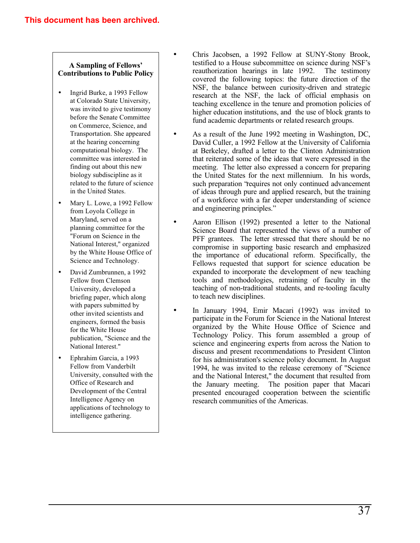### **A Sampling of Fellows' Contributions to Public Policy**

- Ingrid Burke, a 1993 Fellow at Colorado State University, was invited to give testimony before the Senate Committee on Commerce, Science, and Transportation. She appeared at the hearing concerning computational biology. The committee was interested in finding out about this new biology subdiscipline as it related to the future of science in the United States.
- Mary L. Lowe, a 1992 Fellow from Loyola College in Maryland, served on a planning committee for the "Forum on Science in the National Interest," organized by the White House Office of Science and Technology.
- David Zumbrunnen, a 1992 Fellow from Clemson University, developed a briefing paper, which along with papers submitted by other invited scientists and engineers, formed the basis for the White House publication, "Science and the National Interest."
- Ephrahim Garcia, a 1993 Fellow from Vanderbilt University, consulted with the Office of Research and Development of the Central Intelligence Agency on applications of technology to intelligence gathering.
- Chris Jacobsen, a 1992 Fellow at SUNY-Stony Brook, testified to a House subcommittee on science during NSF's reauthorization hearings in late 1992. The testimony covered the following topics: the future direction of the NSF, the balance between curiosity-driven and strategic research at the NSF, the lack of official emphasis on teaching excellence in the tenure and promotion policies of higher education institutions, and the use of block grants to fund academic departments or related research groups.
- As a result of the June 1992 meeting in Washington, DC, David Culler, a 1992 Fellow at the University of California at Berkeley, drafted a letter to the Clinton Administration that reiterated some of the ideas that were expressed in the meeting. The letter also expressed a concern for preparing the United States for the next millennium. In his words, such preparation 'requires not only continued advancement of ideas through pure and applied research, but the training of a workforce with a far deeper understanding of science and engineering principles."
- Aaron Ellison (1992) presented a letter to the National Science Board that represented the views of a number of PFF grantees. The letter stressed that there should be no compromise in supporting basic research and emphasized the importance of educational reform. Specifically, the Fellows requested that support for science education be expanded to incorporate the development of new teaching tools and methodologies, retraining of faculty in the teaching of non-traditional students, and re-tooling faculty to teach new disciplines.
	- In January 1994, Emir Macari (1992) was invited to participate in the Forum for Science in the National Interest organized by the White House Office of Science and Technology Policy. This forum assembled a group of science and engineering experts from across the Nation to discuss and present recommendations to President Clinton for his administration's science policy document. In August 1994, he was invited to the release ceremony of "Science and the National Interest," the document that resulted from the January meeting. The position paper that Macari presented encouraged cooperation between the scientific research communities of the Americas.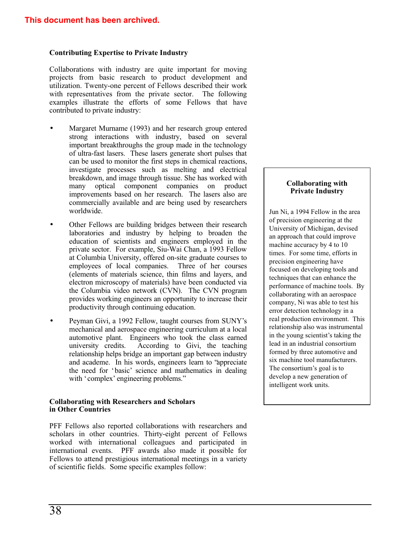## **Contributing Expertise to Private Industry**

Collaborations with industry are quite important for moving projects from basic research to product development and utilization. Twenty-one percent of Fellows described their work with representatives from the private sector. The following examples illustrate the efforts of some Fellows that have contributed to private industry:

- Margaret Murname (1993) and her research group entered strong interactions with industry, based on several important breakthroughs the group made in the technology of ultra-fast lasers. These lasers generate short pulses that can be used to monitor the first steps in chemical reactions, investigate processes such as melting and electrical breakdown, and image through tissue. She has worked with many optical component companies on product improvements based on her research. The lasers also are commercially available and are being used by researchers worldwide.
- Other Fellows are building bridges between their research laboratories and industry by helping to broaden the education of scientists and engineers employed in the private sector. For example, Siu-Wai Chan, a 1993 Fellow at Columbia University, offered on-site graduate courses to employees of local companies. Three of her courses (elements of materials science, thin films and layers, and electron microscopy of materials) have been conducted via the Columbia video network (CVN). The CVN program provides working engineers an opportunity to increase their productivity through continuing education.
- Peyman Givi, a 1992 Fellow, taught courses from SUNY's mechanical and aerospace engineering curriculum at a local automotive plant. Engineers who took the class earned university credits. According to Givi, the teaching relationship helps bridge an important gap between industry and academe. In his words, engineers learn to "appreciate the need for 'basic' science and mathematics in dealing with 'complex' engineering problems."

### **Collaborating with Researchers and Scholars in Other Countries**

PFF Fellows also reported collaborations with researchers and scholars in other countries. Thirty-eight percent of Fellows worked with international colleagues and participated in international events. PFF awards also made it possible for Fellows to attend prestigious international meetings in a variety of scientific fields. Some specific examples follow:

#### **Collaborating with Private Industry**

Jun Ni, a 1994 Fellow in the area of precision engineering at the University of Michigan, devised an approach that could improve machine accuracy by 4 to 10 times. For some time, efforts in precision engineering have focused on developing tools and techniques that can enhance the performance of machine tools. By collaborating with an aerospace company, Ni was able to test his error detection technology in a real production environment. This relationship also was instrumental in the young scientist's taking the lead in an industrial consortium formed by three automotive and six machine tool manufacturers. The consortium's goal is to develop a new generation of intelligent work units.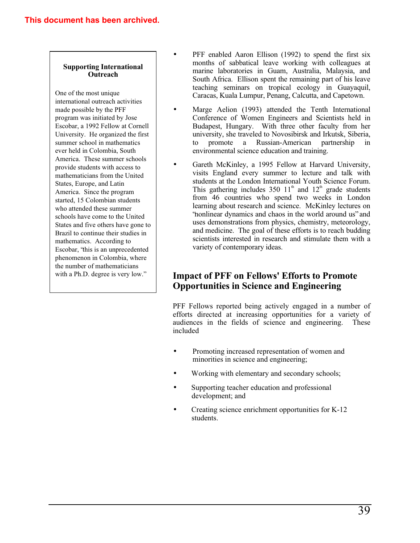## **Supporting International Outreach**

One of the most unique international outreach activities made possible by the PFF program was initiated by Jose Escobar, a 1992 Fellow at Cornell University. He organized the first summer school in mathematics ever held in Colombia, South America. These summer schools provide students with access to mathematicians from the United States, Europe, and Latin America. Since the program started, 15 Colombian students who attended these summer schools have come to the United States and five others have gone to Brazil to continue their studies in mathematics. According to Escobar, "this is an unprecedented phenomenon in Colombia, where the number of mathematicians with a Ph.D. degree is very low."

- PFF enabled Aaron Ellison (1992) to spend the first six months of sabbatical leave working with colleagues at marine laboratories in Guam, Australia, Malaysia, and South Africa. Ellison spent the remaining part of his leave teaching seminars on tropical ecology in Guayaquil, Caracas, Kuala Lumpur, Penang, Calcutta, and Capetown.
- Marge Aelion (1993) attended the Tenth International Conference of Women Engineers and Scientists held in Budapest, Hungary. With three other faculty from her university, she traveled to Novosibirsk and Irkutsk, Siberia, to promote a Russian-American partnership in environmental science education and training.
- Gareth McKinley, a 1995 Fellow at Harvard University, visits England every summer to lecture and talk with students at the London International Youth Science Forum. This gathering includes 350  $11<sup>th</sup>$  and  $12<sup>th</sup>$  grade students from 46 countries who spend two weeks in London learning about research and science. McKinley lectures on "nonlinear dynamics and chaos in the world around us" and uses demonstrations from physics, chemistry, meteorology, and medicine. The goal of these efforts is to reach budding scientists interested in research and stimulate them with a variety of contemporary ideas.

## **Impact of PFF on Fellows' Efforts to Promote Opportunities in Science and Engineering**

PFF Fellows reported being actively engaged in a number of efforts directed at increasing opportunities for a variety of audiences in the fields of science and engineering. These included

- Promoting increased representation of women and minorities in science and engineering;
- Working with elementary and secondary schools;
- Supporting teacher education and professional development; and
- Creating science enrichment opportunities for K-12 students.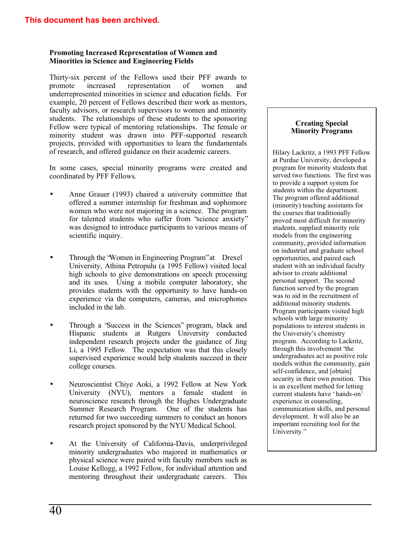## **Promoting Increased Representation of Women and Minorities in Science and Engineering Fields**

Thirty-six percent of the Fellows used their PFF awards to promote increased representation of women and underrepresented minorities in science and education fields. For example, 20 percent of Fellows described their work as mentors, faculty advisors, or research supervisors to women and minority students. The relationships of these students to the sponsoring Fellow were typical of mentoring relationships. The female or minority student was drawn into PFF-supported research projects, provided with opportunities to learn the fundamentals of research, and offered guidance on their academic careers.

In some cases, special minority programs were created and coordinated by PFF Fellows.

- Anne Grauer (1993) chaired a university committee that offered a summer internship for freshman and sophomore women who were not majoring in a science. The program for talented students who suffer from "science anxiety" was designed to introduce participants to various means of scientific inquiry.
- Through the "Women in Engineering Program" at Drexel University, Athina Petropulu (a 1995 Fellow) visited local high schools to give demonstrations on speech processing and its uses. Using a mobile computer laboratory, she provides students with the opportunity to have hands-on experience via the computers, cameras, and microphones included in the lab.
- Through a "Success in the Sciences" program, black and Hispanic students at Rutgers University conducted independent research projects under the guidance of Jing Li, a 1995 Fellow. The expectation was that this closely supervised experience would help students succeed in their college courses.
- Neuroscientist Chiye Aoki, a 1992 Fellow at New York University (NYU), mentors a female student in neuroscience research through the Hughes Undergraduate Summer Research Program. One of the students has returned for two succeeding summers to conduct an honors research project sponsored by the NYU Medical School.
- At the University of California-Davis, underprivileged minority undergraduates who majored in mathematics or physical science were paired with faculty members such as Louise Kellogg, a 1992 Fellow, for individual attention and mentoring throughout their undergraduate careers. This

#### **Creating Special Minority Programs**

Hilary Lackritz, a 1993 PFF Fellow at Purdue University, developed a program for minority students that served two functions. The first was to provide a support system for students within the department. The program offered additional (minority) teaching assistants for the courses that traditionally proved most difficult for minority students, supplied minority role models from the engineering community, provided information on industrial and graduate school opportunities, and paired each student with an individual faculty advisor to create additional personal support. The second function served by the program was to aid in the recruitment of additional minority students. Program participants visited high schools with large minority populations to interest students in the University's chemistry program. According to Lackritz, through this involvement "the undergraduates act as positive role models within the community, gain self-confidence, and [obtain] security in their own position. This is an excellent method for letting current students have 'hands-on' experience in counseling, communication skills, and personal development. It will also be an important recruiting tool for the University."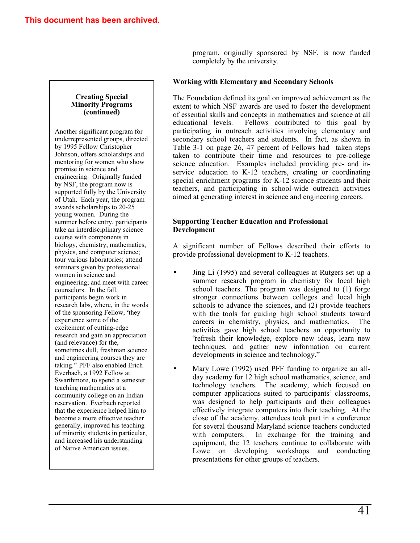program, originally sponsored by NSF, is now funded completely by the university.

## **Working with Elementary and Secondary Schools**

The Foundation defined its goal on improved achievement as the extent to which NSF awards are used to foster the development of essential skills and concepts in mathematics and science at all educational levels. Fellows contributed to this goal by participating in outreach activities involving elementary and secondary school teachers and students. In fact, as shown in Table 3-1 on page 26, 47 percent of Fellows had taken steps taken to contribute their time and resources to pre-college science education. Examples included providing pre- and inservice education to K-12 teachers, creating or coordinating special enrichment programs for K-12 science students and their teachers, and participating in school-wide outreach activities aimed at generating interest in science and engineering careers.

### **Supporting Teacher Education and Professional Development**

A significant number of Fellows described their efforts to provide professional development to K-12 teachers.

- Jing Li (1995) and several colleagues at Rutgers set up a summer research program in chemistry for local high school teachers. The program was designed to (1) forge stronger connections between colleges and local high schools to advance the sciences, and (2) provide teachers with the tools for guiding high school students toward careers in chemistry, physics, and mathematics. The activities gave high school teachers an opportunity to "refresh their knowledge, explore new ideas, learn new techniques, and gather new information on current developments in science and technology."
- Mary Lowe (1992) used PFF funding to organize an allday academy for 12 high school mathematics, science, and technology teachers. The academy, which focused on computer applications suited to participants' classrooms, was designed to help participants and their colleagues effectively integrate computers into their teaching. At the close of the academy, attendees took part in a conference for several thousand Maryland science teachers conducted with computers. In exchange for the training and equipment, the 12 teachers continue to collaborate with Lowe on developing workshops and conducting presentations for other groups of teachers.

#### **Creating Special Minority Programs (continued)**

Another significant program for underrepresented groups, directed by 1995 Fellow Christopher Johnson, offers scholarships and mentoring for women who show promise in science and engineering. Originally funded by NSF, the program now is supported fully by the University of Utah. Each year, the program awards scholarships to 20-25 young women. During the summer before entry, participants take an interdisciplinary science course with components in biology, chemistry, mathematics, physics, and computer science; tour various laboratories; attend seminars given by professional women in science and engineering; and meet with career counselors. In the fall, participants begin work in research labs, where, in the words of the sponsoring Fellow, "they experience some of the excitement of cutting-edge research and gain an appreciation (and relevance) for the, sometimes dull, freshman science and engineering courses they are taking." PFF also enabled Erich Everbach, a 1992 Fellow at Swarthmore, to spend a semester teaching mathematics at a community college on an Indian reservation. Everbach reported that the experience helped him to become a more effective teacher generally, improved his teaching of minority students in particular, and increased his understanding of Native American issues.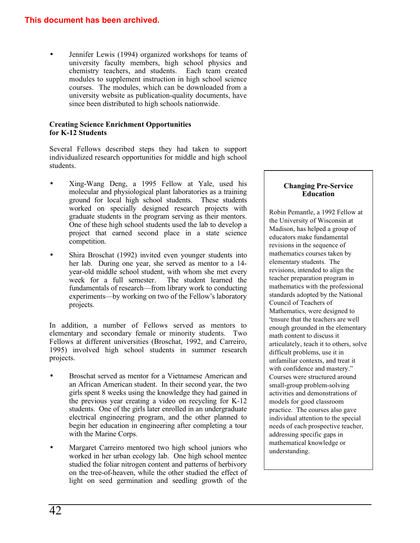## **This document has been archived.**

Jennifer Lewis (1994) organized workshops for teams of university faculty members, high school physics and chemistry teachers, and students. Each team created modules to supplement instruction in high school science courses. The modules, which can be downloaded from a university website as publication-quality documents, have since been distributed to high schools nationwide.

## **Creating Science Enrichment Opportunities for K-12 Students**

Several Fellows described steps they had taken to support individualized research opportunities for middle and high school students.

- Xing-Wang Deng, a 1995 Fellow at Yale, used his molecular and physiological plant laboratories as a training ground for local high school students. These students worked on specially designed research projects with graduate students in the program serving as their mentors. One of these high school students used the lab to develop a project that earned second place in a state science competition.
- Shira Broschat (1992) invited even younger students into her lab. During one year, she served as mentor to a 14 year-old middle school student, with whom she met every<br>week for a full semester. The student learned the week for a full semester. fundamentals of research– from library work to conducting experiments—by working on two of the Fellow's laboratory projects.

In addition, a number of Fellows served as mentors to elementary and secondary female or minority students. Two Fellows at different universities (Broschat, 1992, and Carreiro, 1995) involved high school students in summer research projects.

- Broschat served as mentor for a Vietnamese American and an African American student. In their second year, the two girls spent 8 weeks using the knowledge they had gained in the previous year creating a video on recycling for K-12 students. One of the girls later enrolled in an undergraduate electrical engineering program, and the other planned to begin her education in engineering after completing a tour with the Marine Corps.
- Margaret Carreiro mentored two high school juniors who worked in her urban ecology lab. One high school mentee studied the foliar nitrogen content and patterns of herbivory on the tree-of-heaven, while the other studied the effect of light on seed germination and seedling growth of the

### **Changing Pre-Service Education**

Robin Pemantle, a 1992 Fellow at the University of Wisconsin at Madison, has helped a group of educators make fundamental revisions in the sequence of mathematics courses taken by elementary students. The revisions, intended to align the teacher preparation program in mathematics with the professional standards adopted by the National Council of Teachers of Mathematics, were designed to "ensure that the teachers are well enough grounded in the elementary math content to discuss it articulately, teach it to others, solve difficult problems, use it in unfamiliar contexts, and treat it with confidence and mastery." Courses were structured around small-group problem-solving activities and demonstrations of models for good classroom practice. The courses also gave individual attention to the special needs of each prospective teacher, addressing specific gaps in mathematical knowledge or understanding.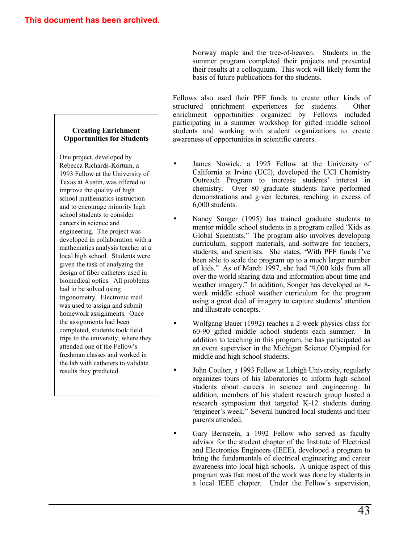Norway maple and the tree-of-heaven. Students in the summer program completed their projects and presented their results at a colloquium. This work will likely form the basis of future publications for the students.

Fellows also used their PFF funds to create other kinds of structured enrichment experiences for students. Other enrichment opportunities organized by Fellows included participating in a summer workshop for gifted middle school students and working with student organizations to create awareness of opportunities in scientific careers.

- James Nowick, a 1995 Fellow at the University of California at Irvine (UCI), developed the UCI Chemistry Outreach Program to increase students' interest in chemistry. Over 80 graduate students have performed demonstrations and given lectures, reaching in excess of 6,000 students.
- Nancy Songer (1995) has trained graduate students to mentor middle school students in a program called "Kids as Global Scientists." The program also involves developing curriculum, support materials, and software for teachers, students, and scientists. She states, "With PFF funds I've been able to scale the program up to a much larger number of kids." As of March 1997, she had "4,000 kids from all over the world sharing data and information about time and weather imagery." In addition, Songer has developed an 8 week middle school weather curriculum for the program using a great deal of imagery to capture students' attention and illustrate concepts.
- Wolfgang Bauer (1992) teaches a 2-week physics class for 60-90 gifted middle school students each summer. In addition to teaching in this program, he has participated as an event supervisor in the Michigan Science Olympiad for middle and high school students.
- John Coulter, a 1993 Fellow at Lehigh University, regularly organizes tours of his laboratories to inform high school students about careers in science and engineering. In addition, members of his student research group hosted a research symposium that targeted K-12 students during "engineer's week." Several hundred local students and their parents attended.
- Gary Bernstein, a 1992 Fellow who served as faculty advisor for the student chapter of the Institute of Electrical and Electronics Engineers (IEEE), developed a program to bring the fundamentals of electrical engineering and career awareness into local high schools. A unique aspect of this program was that most of the work was done by students in a local IEEE chapter. Under the Fellow's supervision,

## **Creating Enrichment Opportunities for Students**

One project, developed by Rebecca Richards-Kortum, a 1993 Fellow at the University of Texas at Austin, was offered to improve the quality of high school mathematics instruction and to encourage minority high school students to consider careers in science and engineering. The project was developed in collaboration with a mathematics analysis teacher at a local high school. Students were given the task of analyzing the design of fiber catheters used in biomedical optics. All problems had to be solved using trigonometry. Electronic mail was used to assign and submit homework assignments. Once the assignments had been completed, students took field trips to the university, where they attended one of the Fellow's freshman classes and worked in the lab with catheters to validate results they predicted.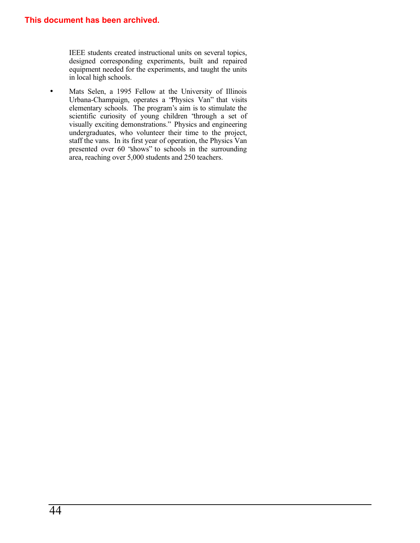IEEE students created instructional units on several topics, designed corresponding experiments, built and repaired equipment needed for the experiments, and taught the units in local high schools.

• Mats Selen, a 1995 Fellow at the University of Illinois Urbana-Champaign, operates a "Physics Van" that visits elementary schools. The program's aim is to stimulate the scientific curiosity of young children "through a set of visually exciting demonstrations." Physics and engineering undergraduates, who volunteer their time to the project, staff the vans. In its first year of operation, the Physics Van presented over 60 "shows" to schools in the surrounding area, reaching over 5,000 students and 250 teachers.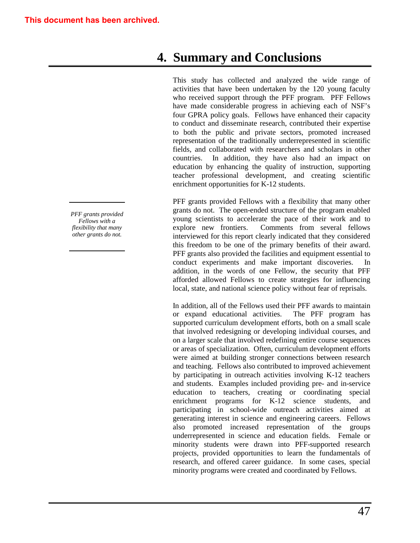# **4. Summary and Conclusions**

This study has collected and analyzed the wide range of activities that have been undertaken by the 120 young faculty who received support through the PFF program. PFF Fellows have made considerable progress in achieving each of NSF's four GPRA policy goals. Fellows have enhanced their capacity to conduct and disseminate research, contributed their expertise to both the public and private sectors, promoted increased representation of the traditionally underrepresented in scientific fields, and collaborated with researchers and scholars in other countries. In addition, they have also had an impact on education by enhancing the quality of instruction, supporting teacher professional development, and creating scientific enrichment opportunities for K-12 students.

PFF grants provided Fellows with a flexibility that many other grants do not. The open-ended structure of the program enabled young scientists to accelerate the pace of their work and to explore new frontiers. Comments from several fellows interviewed for this report clearly indicated that they considered this freedom to be one of the primary benefits of their award. PFF grants also provided the facilities and equipment essential to conduct experiments and make important discoveries. addition, in the words of one Fellow, the security that PFF afforded allowed Fellows to create strategies for influencing local, state, and national science policy without fear of reprisals.

In addition, all of the Fellows used their PFF awards to maintain or expand educational activities. The PFF program has supported curriculum development efforts, both on a small scale that involved redesigning or developing individual courses, and on a larger scale that involved redefining entire course sequences or areas of specialization. Often, curriculum development efforts were aimed at building stronger connections between research and teaching. Fellows also contributed to improved achievement by participating in outreach activities involving K-12 teachers and students. Examples included providing pre- and in-service education to teachers, creating or coordinating special enrichment programs for K-12 science students, and participating in school-wide outreach activities aimed at generating interest in science and engineering careers. Fellows also promoted increased representation of the groups underrepresented in science and education fields. Female or minority students were drawn into PFF-supported research projects, provided opportunities to learn the fundamentals of research, and offered career guidance. In some cases, special minority programs were created and coordinated by Fellows.

*PFF grants provided Fellows with a flexibility that many other grants do not.*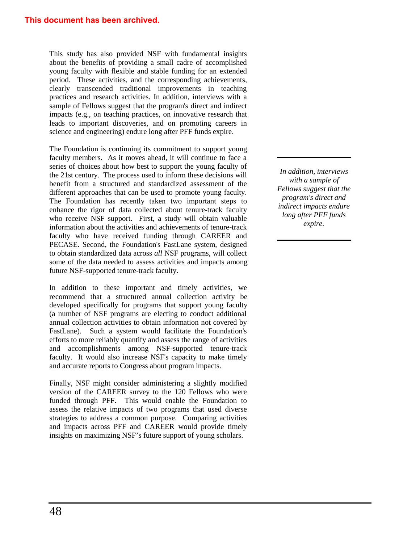This study has also provided NSF with fundamental insights about the benefits of providing a small cadre of accomplished young faculty with flexible and stable funding for an extended period. These activities, and the corresponding achievements, clearly transcended traditional improvements in teaching practices and research activities. In addition, interviews with a sample of Fellows suggest that the program's direct and indirect impacts (e.g., on teaching practices, on innovative research that leads to important discoveries, and on promoting careers in science and engineering) endure long after PFF funds expire.

The Foundation is continuing its commitment to support young faculty members. As it moves ahead, it will continue to face a series of choices about how best to support the young faculty of the 21st century. The process used to inform these decisions will benefit from a structured and standardized assessment of the different approaches that can be used to promote young faculty. The Foundation has recently taken two important steps to enhance the rigor of data collected about tenure-track faculty who receive NSF support. First, a study will obtain valuable information about the activities and achievements of tenure-track faculty who have received funding through CAREER and PECASE. Second, the Foundation's FastLane system, designed to obtain standardized data across *all* NSF programs, will collect some of the data needed to assess activities and impacts among future NSF-supported tenure-track faculty.

In addition to these important and timely activities, we recommend that a structured annual collection activity be developed specifically for programs that support young faculty (a number of NSF programs are electing to conduct additional annual collection activities to obtain information not covered by FastLane). Such a system would facilitate the Foundation's efforts to more reliably quantify and assess the range of activities and accomplishments among NSF-supported tenure-track faculty. It would also increase NSF's capacity to make timely and accurate reports to Congress about program impacts.

Finally, NSF might consider administering a slightly modified version of the CAREER survey to the 120 Fellows who were funded through PFF. This would enable the Foundation to assess the relative impacts of two programs that used diverse strategies to address a common purpose. Comparing activities and impacts across PFF and CAREER would provide timely insights on maximizing NSF's future support of young scholars.

*In addition, interviews with a sample of Fellows suggest that the program's direct and indirect impacts endure long after PFF funds expire.*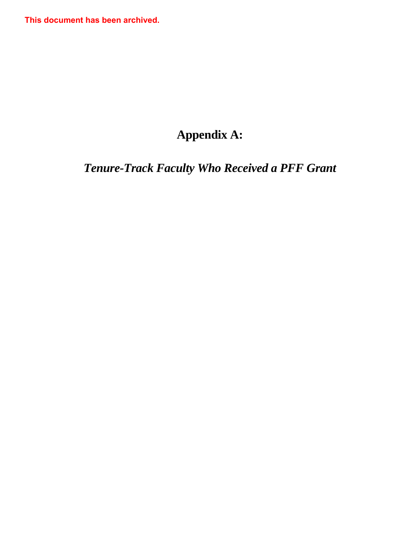**This document has been archived.**

# **Appendix A:**

# *Tenure-Track Faculty Who Received a PFF Grant*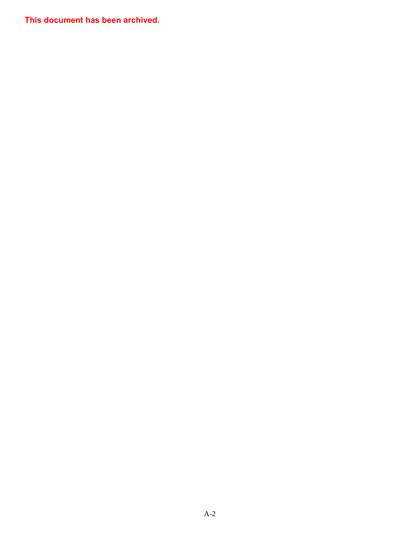**This document has been archived.**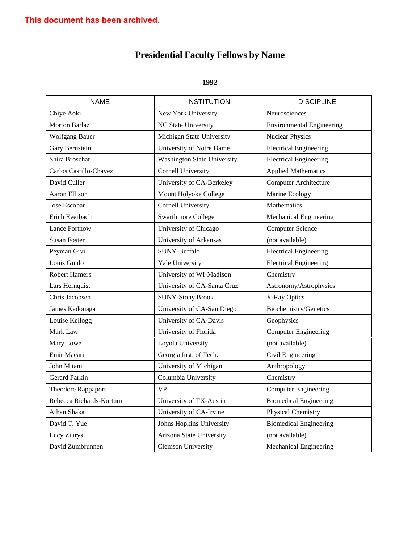| <b>NAME</b>             | <b>INSTITUTION</b>                 | <b>DISCIPLINE</b>                |
|-------------------------|------------------------------------|----------------------------------|
| Chiye Aoki              | New York University                | Neurosciences                    |
| Morton Barlaz           | NC State University                | <b>Environmental Engineering</b> |
| <b>Wolfgang Bauer</b>   | Michigan State University          | <b>Nuclear Physics</b>           |
| Gary Bernstein          | University of Notre Dame           | <b>Electrical Engineering</b>    |
| Shira Broschat          | <b>Washington State University</b> | <b>Electrical Engineering</b>    |
| Carlos Castillo-Chavez  | <b>Cornell University</b>          | <b>Applied Mathematics</b>       |
| David Culler            | University of CA-Berkeley          | <b>Computer Architecture</b>     |
| Aaron Ellison           | Mount Holyoke College              | Marine Ecology                   |
| Jose Escobar            | <b>Cornell University</b>          | Mathematics                      |
| Erich Everbach          | <b>Swarthmore College</b>          | Mechanical Engineering           |
| <b>Lance Fortnow</b>    | University of Chicago              | <b>Computer Science</b>          |
| <b>Susan Foster</b>     | University of Arkansas             | (not available)                  |
| Peyman Givi             | SUNY-Buffalo                       | <b>Electrical Engineering</b>    |
| Louis Guido             | Yale University                    | <b>Electrical Engineering</b>    |
| <b>Robert Hamers</b>    | University of WI-Madison           | Chemistry                        |
| Lars Hernquist          | University of CA-Santa Cruz        | Astronomy/Astrophysics           |
| Chris Jacobsen          | <b>SUNY-Stony Brook</b>            | X-Ray Optics                     |
| James Kadonaga          | University of CA-San Diego         | Biochemistry/Genetics            |
| Louise Kellogg          | University of CA-Davis             | Geophysics                       |
| Mark Law                | University of Florida              | <b>Computer Engineering</b>      |
| Mary Lowe               | Loyola University                  | (not available)                  |
| Emir Macari             | Georgia Inst. of Tech.             | Civil Engineering                |
| John Mitani             | University of Michigan             | Anthropology                     |
| Gerard Parkin           | Columbia University                | Chemistry                        |
| Theodore Rappaport      | <b>VPI</b>                         | <b>Computer Engineering</b>      |
| Rebecca Richards-Kortum | University of TX-Austin            | <b>Biomedical Engineering</b>    |
| Athan Shaka             | University of CA-Irvine            | Physical Chemistry               |
| David T. Yue            | Johns Hopkins University           | <b>Biomedical Engineering</b>    |
| Lucy Ziurys             | Arizona State University           | (not available)                  |
| David Zumbrunnen        | <b>Clemson University</b>          | Mechanical Engineering           |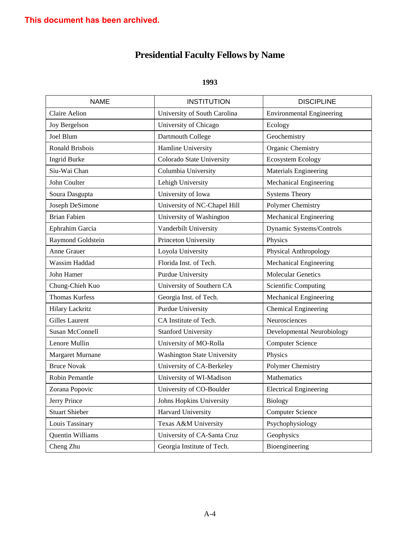| <b>NAME</b>            | <b>INSTITUTION</b>                 | <b>DISCIPLINE</b>                |
|------------------------|------------------------------------|----------------------------------|
| Claire Aelion          | University of South Carolina       | <b>Environmental Engineering</b> |
| Joy Bergelson          | University of Chicago              | Ecology                          |
| Joel Blum              | Dartmouth College                  | Geochemistry                     |
| Ronald Brisbois        | Hamline University                 | Organic Chemistry                |
| <b>Ingrid Burke</b>    | Colorado State University          | <b>Ecosystem Ecology</b>         |
| Siu-Wai Chan           | Columbia University                | Materials Engineering            |
| John Coulter           | Lehigh University                  | Mechanical Engineering           |
| Soura Dasgupta         | University of Iowa                 | <b>Systems Theory</b>            |
| Joseph DeSimone        | University of NC-Chapel Hill       | Polymer Chemistry                |
| <b>Brian Fabien</b>    | University of Washington           | Mechanical Engineering           |
| Ephrahim Garcia        | Vanderbilt University              | Dynamic Systems/Controls         |
| Raymond Goldstein      | Princeton University               | Physics                          |
| Anne Grauer            | Loyola University                  | Physical Anthropology            |
| Wassim Haddad          | Florida Inst. of Tech.             | Mechanical Engineering           |
| John Hamer             | Purdue University                  | <b>Molecular Genetics</b>        |
| Chung-Chieh Kuo        | University of Southern CA          | <b>Scientific Computing</b>      |
| <b>Thomas Kurfess</b>  | Georgia Inst. of Tech.             | Mechanical Engineering           |
| <b>Hilary Lackritz</b> | <b>Purdue University</b>           | <b>Chemical Engineering</b>      |
| <b>Gilles Laurent</b>  | CA Institute of Tech.              | Neurosciences                    |
| Susan McConnell        | <b>Stanford University</b>         | Developmental Neurobiology       |
| Lenore Mullin          | University of MO-Rolla             | <b>Computer Science</b>          |
| Margaret Murnane       | <b>Washington State University</b> | Physics                          |
| <b>Bruce Novak</b>     | University of CA-Berkeley          | Polymer Chemistry                |
| Robin Pemantle         | University of WI-Madison           | Mathematics                      |
| Zorana Popovic         | University of CO-Boulder           | <b>Electrical Engineering</b>    |
| Jerry Prince           | Johns Hopkins University           | <b>Biology</b>                   |
| <b>Stuart Shieber</b>  | Harvard University                 | <b>Computer Science</b>          |
| Louis Tassinary        | Texas A&M University               | Psychophysiology                 |
| Quentin Williams       | University of CA-Santa Cruz        | Geophysics                       |
| Cheng Zhu              | Georgia Institute of Tech.         | Bioengineering                   |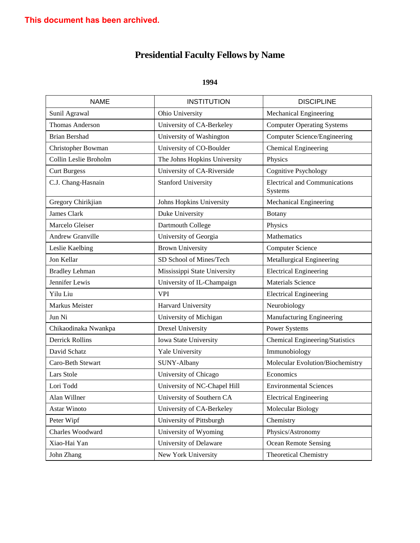| <b>NAME</b>            | <b>INSTITUTION</b>           | <b>DISCIPLINE</b>                               |
|------------------------|------------------------------|-------------------------------------------------|
| Sunil Agrawal          | Ohio University              | Mechanical Engineering                          |
| <b>Thomas Anderson</b> | University of CA-Berkeley    | <b>Computer Operating Systems</b>               |
| <b>Brian Bershad</b>   | University of Washington     | Computer Science/Engineering                    |
| Christopher Bowman     | University of CO-Boulder     | Chemical Engineering                            |
| Collin Leslie Broholm  | The Johns Hopkins University | Physics                                         |
| <b>Curt Burgess</b>    | University of CA-Riverside   | Cognitive Psychology                            |
| C.J. Chang-Hasnain     | <b>Stanford University</b>   | <b>Electrical and Communications</b><br>Systems |
| Gregory Chirikjian     | Johns Hopkins University     | Mechanical Engineering                          |
| James Clark            | Duke University              | <b>Botany</b>                                   |
| Marcelo Gleiser        | Dartmouth College            | Physics                                         |
| Andrew Granville       | University of Georgia        | Mathematics                                     |
| Leslie Kaelbing        | <b>Brown University</b>      | <b>Computer Science</b>                         |
| Jon Kellar             | SD School of Mines/Tech      | Metallurgical Engineering                       |
| <b>Bradley Lehman</b>  | Mississippi State University | <b>Electrical Engineering</b>                   |
| Jennifer Lewis         | University of IL-Champaign   | <b>Materials Science</b>                        |
| Yilu Liu               | <b>VPI</b>                   | <b>Electrical Engineering</b>                   |
| Markus Meister         | Harvard University           | Neurobiology                                    |
| Jun Ni                 | University of Michigan       | Manufacturing Engineering                       |
| Chikaodinaka Nwankpa   | <b>Drexel University</b>     | Power Systems                                   |
| <b>Derrick Rollins</b> | Iowa State University        | Chemical Engineering/Statistics                 |
| David Schatz           | Yale University              | Immunobiology                                   |
| Caro-Beth Stewart      | SUNY-Albany                  | Molecular Evolution/Biochemistry                |
| Lars Stole             | University of Chicago        | Economics                                       |
| Lori Todd              | University of NC-Chapel Hill | <b>Environmental Sciences</b>                   |
| Alan Willner           | University of Southern CA    | <b>Electrical Engineering</b>                   |
| Astar Winoto           | University of CA-Berkeley    | Molecular Biology                               |
| Peter Wipf             | University of Pittsburgh     | Chemistry                                       |
| Charles Woodward       | University of Wyoming        | Physics/Astronomy                               |
| Xiao-Hai Yan           | University of Delaware       | <b>Ocean Remote Sensing</b>                     |
| John Zhang             | New York University          | <b>Theoretical Chemistry</b>                    |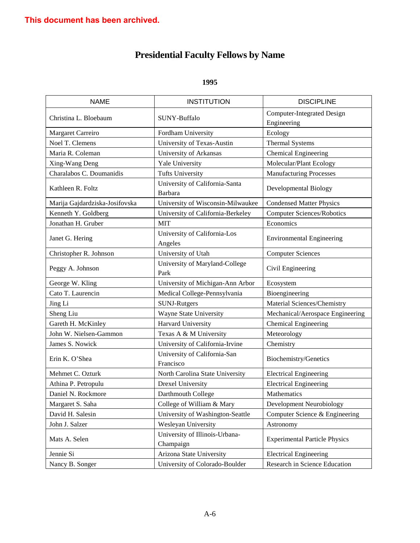| <b>NAME</b>                    | <b>INSTITUTION</b>                          | <b>DISCIPLINE</b>                                |
|--------------------------------|---------------------------------------------|--------------------------------------------------|
| Christina L. Bloebaum          | SUNY-Buffalo                                | <b>Computer-Integrated Design</b><br>Engineering |
| Margaret Carreiro              | Fordham University                          | Ecology                                          |
| Noel T. Clemens                | University of Texas-Austin                  | <b>Thermal Systems</b>                           |
| Maria R. Coleman               | University of Arkansas                      | Chemical Engineering                             |
| Xing-Wang Deng                 | Yale University                             | Molecular/Plant Ecology                          |
| Charalabos C. Doumanidis       | <b>Tufts University</b>                     | <b>Manufacturing Processes</b>                   |
| Kathleen R. Foltz              | University of California-Santa<br>Barbara   | Developmental Biology                            |
| Marija Gajdardziska-Josifovska | University of Wisconsin-Milwaukee           | <b>Condensed Matter Physics</b>                  |
| Kenneth Y. Goldberg            | University of California-Berkeley           | <b>Computer Sciences/Robotics</b>                |
| Jonathan H. Gruber             | <b>MIT</b>                                  | Economics                                        |
| Janet G. Hering                | University of California-Los<br>Angeles     | <b>Environmental Engineering</b>                 |
| Christopher R. Johnson         | University of Utah                          | <b>Computer Sciences</b>                         |
| Peggy A. Johnson               | University of Maryland-College<br>Park      | Civil Engineering                                |
| George W. Kling                | University of Michigan-Ann Arbor            | Ecosystem                                        |
| Cato T. Laurencin              | Medical College-Pennsylvania                | Bioengineering                                   |
| Jing Li                        | SUNJ-Rutgers                                | Material Sciences/Chemistry                      |
| Sheng Liu                      | Wayne State University                      | Mechanical/Aerospace Engineering                 |
| Gareth H. McKinley             | Harvard University                          | <b>Chemical Engineering</b>                      |
| John W. Nielsen-Gammon         | Texas A & M University                      | Meteorology                                      |
| James S. Nowick                | University of California-Irvine             | Chemistry                                        |
| Erin K. O'Shea                 | University of California-San<br>Francisco   | Biochemistry/Genetics                            |
| Mehmet C. Ozturk               | North Carolina State University             | <b>Electrical Engineering</b>                    |
| Athina P. Petropulu            | Drexel University                           | <b>Electrical Engineering</b>                    |
| Daniel N. Rockmore             | Darthmouth College                          | Mathematics                                      |
| Margaret S. Saha               | College of William & Mary                   | Development Neurobiology                         |
| David H. Salesin               | University of Washington-Seattle            | Computer Science & Engineering                   |
| John J. Salzer                 | Wesleyan University                         | Astronomy                                        |
| Mats A. Selen                  | University of Illinois-Urbana-<br>Champaign | <b>Experimental Particle Physics</b>             |
| Jennie Si                      | Arizona State University                    | <b>Electrical Engineering</b>                    |
| Nancy B. Songer                | University of Colorado-Boulder              | Research in Science Education                    |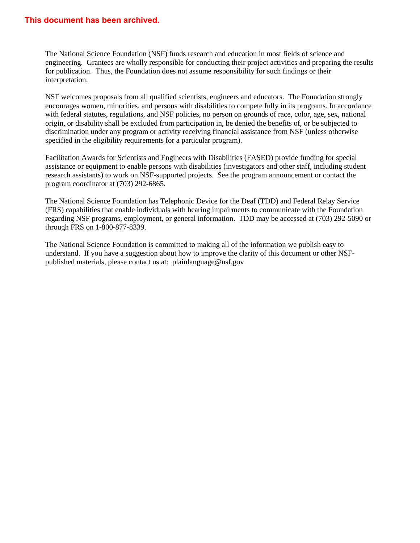## **This document has been archived.**

The National Science Foundation (NSF) funds research and education in most fields of science and engineering. Grantees are wholly responsible for conducting their project activities and preparing the results for publication. Thus, the Foundation does not assume responsibility for such findings or their interpretation.

NSF welcomes proposals from all qualified scientists, engineers and educators. The Foundation strongly encourages women, minorities, and persons with disabilities to compete fully in its programs. In accordance with federal statutes, regulations, and NSF policies, no person on grounds of race, color, age, sex, national origin, or disability shall be excluded from participation in, be denied the benefits of, or be subjected to discrimination under any program or activity receiving financial assistance from NSF (unless otherwise specified in the eligibility requirements for a particular program).

Facilitation Awards for Scientists and Engineers with Disabilities (FASED) provide funding for special assistance or equipment to enable persons with disabilities (investigators and other staff, including student research assistants) to work on NSF-supported projects. See the program announcement or contact the program coordinator at (703) 292-6865.

The National Science Foundation has Telephonic Device for the Deaf (TDD) and Federal Relay Service (FRS) capabilities that enable individuals with hearing impairments to communicate with the Foundation regarding NSF programs, employment, or general information. TDD may be accessed at (703) 292-5090 or through FRS on 1-800-877-8339.

The National Science Foundation is committed to making all of the information we publish easy to understand. If you have a suggestion about how to improve the clarity of this document or other NSFpublished materials, please contact us at: plainlanguage@nsf.gov